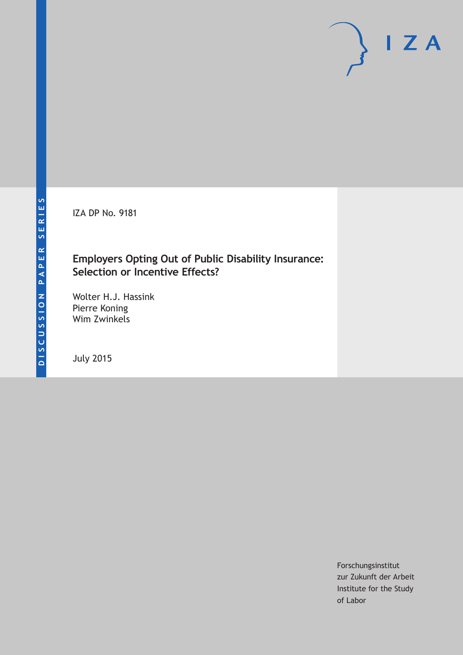IZA DP No. 9181

# **Employers Opting Out of Public Disability Insurance: Selection or Incentive Effects?**

Wolter H.J. Hassink Pierre Koning Wim Zwinkels

July 2015

Forschungsinstitut zur Zukunft der Arbeit Institute for the Study of Labor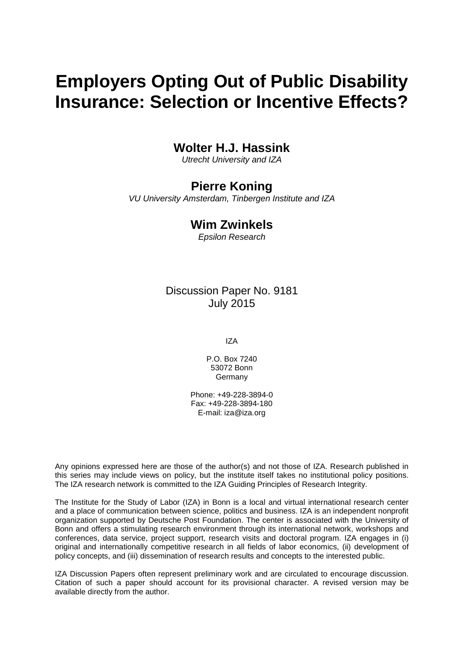# **Employers Opting Out of Public Disability Insurance: Selection or Incentive Effects?**

# **Wolter H.J. Hassink**

*Utrecht University and IZA*

# **Pierre Koning**

*VU University Amsterdam, Tinbergen Institute and IZA*

## **Wim Zwinkels**

*Epsilon Research*

## Discussion Paper No. 9181 July 2015

IZA

P.O. Box 7240 53072 Bonn Germany

Phone: +49-228-3894-0 Fax: +49-228-3894-180 E-mail: iza@iza.org

Any opinions expressed here are those of the author(s) and not those of IZA. Research published in this series may include views on policy, but the institute itself takes no institutional policy positions. The IZA research network is committed to the IZA Guiding Principles of Research Integrity.

The Institute for the Study of Labor (IZA) in Bonn is a local and virtual international research center and a place of communication between science, politics and business. IZA is an independent nonprofit organization supported by Deutsche Post Foundation. The center is associated with the University of Bonn and offers a stimulating research environment through its international network, workshops and conferences, data service, project support, research visits and doctoral program. IZA engages in (i) original and internationally competitive research in all fields of labor economics, (ii) development of policy concepts, and (iii) dissemination of research results and concepts to the interested public.

<span id="page-1-0"></span>IZA Discussion Papers often represent preliminary work and are circulated to encourage discussion. Citation of such a paper should account for its provisional character. A revised version may be available directly from the author.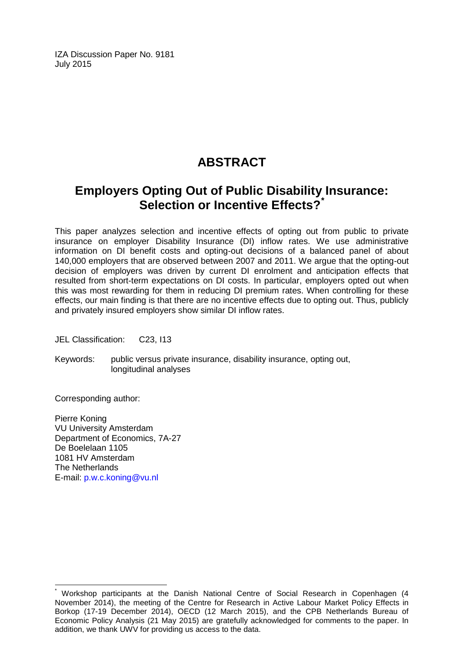IZA Discussion Paper No. 9181 July 2015

# **ABSTRACT**

# **Employers Opting Out of Public Disability Insurance: Selection or Incentive Effects?[\\*](#page-1-0)**

This paper analyzes selection and incentive effects of opting out from public to private insurance on employer Disability Insurance (DI) inflow rates. We use administrative information on DI benefit costs and opting-out decisions of a balanced panel of about 140,000 employers that are observed between 2007 and 2011. We argue that the opting-out decision of employers was driven by current DI enrolment and anticipation effects that resulted from short-term expectations on DI costs. In particular, employers opted out when this was most rewarding for them in reducing DI premium rates. When controlling for these effects, our main finding is that there are no incentive effects due to opting out. Thus, publicly and privately insured employers show similar DI inflow rates.

JEL Classification: C23, I13

Keywords: public versus private insurance, disability insurance, opting out, longitudinal analyses

Corresponding author:

Pierre Koning VU University Amsterdam Department of Economics, 7A-27 De Boelelaan 1105 1081 HV Amsterdam The Netherlands E-mail: [p.w.c.koning@vu.nl](mailto:p.w.c.koning@vu.nl)

\* Workshop participants at the Danish National Centre of Social Research in Copenhagen (4 November 2014), the meeting of the Centre for Research in Active Labour Market Policy Effects in Borkop (17-19 December 2014), OECD (12 March 2015), and the CPB Netherlands Bureau of Economic Policy Analysis (21 May 2015) are gratefully acknowledged for comments to the paper. In addition, we thank UWV for providing us access to the data.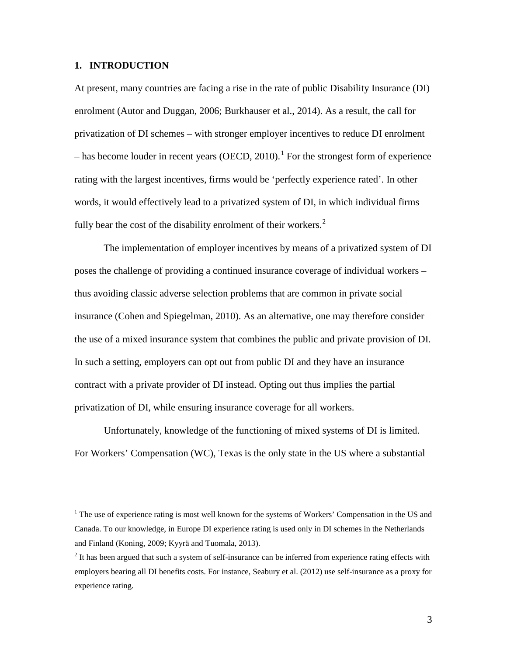#### **1. INTRODUCTION**

At present, many countries are facing a rise in the rate of public Disability Insurance (DI) enrolment (Autor and Duggan, 2006; Burkhauser et al., 2014). As a result, the call for privatization of DI schemes – with stronger employer incentives to reduce DI enrolment  $-$  has become louder in recent years (OECD, 2010).<sup>1</sup> For the strongest form of experience rating with the largest incentives, firms would be 'perfectly experience rated'. In other words, it would effectively lead to a privatized system of DI, in which individual firms fully bear the cost of the disability enrolment of their workers.<sup>[2](#page-3-0)</sup>

The implementation of employer incentives by means of a privatized system of DI poses the challenge of providing a continued insurance coverage of individual workers – thus avoiding classic adverse selection problems that are common in private social insurance (Cohen and Spiegelman, 2010). As an alternative, one may therefore consider the use of a mixed insurance system that combines the public and private provision of DI. In such a setting, employers can opt out from public DI and they have an insurance contract with a private provider of DI instead. Opting out thus implies the partial privatization of DI, while ensuring insurance coverage for all workers.

<span id="page-3-1"></span>Unfortunately, knowledge of the functioning of mixed systems of DI is limited. For Workers' Compensation (WC), Texas is the only state in the US where a substantial

 $1$  The use of experience rating is most well known for the systems of Workers' Compensation in the US and Canada. To our knowledge, in Europe DI experience rating is used only in DI schemes in the Netherlands and Finland (Koning, 2009; Kyyrä and Tuomala, 2013).

<span id="page-3-0"></span><sup>&</sup>lt;sup>2</sup> It has been argued that such a system of self-insurance can be inferred from experience rating effects with employers bearing all DI benefits costs. For instance, Seabury et al. (2012) use self-insurance as a proxy for experience rating.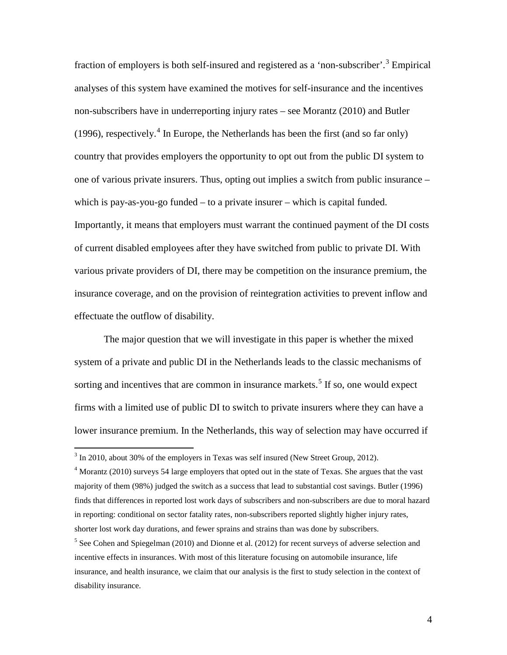fraction of employers is both self-insured and registered as a 'non-subscriber'.<sup>[3](#page-3-1)</sup> Empirical analyses of this system have examined the motives for self-insurance and the incentives non-subscribers have in underreporting injury rates – see Morantz (2010) and Butler (1996), respectively.<sup>[4](#page-4-0)</sup> In Europe, the Netherlands has been the first (and so far only) country that provides employers the opportunity to opt out from the public DI system to one of various private insurers. Thus, opting out implies a switch from public insurance – which is pay-as-you-go funded – to a private insurer – which is capital funded. Importantly, it means that employers must warrant the continued payment of the DI costs of current disabled employees after they have switched from public to private DI. With various private providers of DI, there may be competition on the insurance premium, the insurance coverage, and on the provision of reintegration activities to prevent inflow and effectuate the outflow of disability.

The major question that we will investigate in this paper is whether the mixed system of a private and public DI in the Netherlands leads to the classic mechanisms of sorting and incentives that are common in insurance markets.<sup>[5](#page-4-1)</sup> If so, one would expect firms with a limited use of public DI to switch to private insurers where they can have a lower insurance premium. In the Netherlands, this way of selection may have occurred if

 $3 \text{ In } 2010$ , about 30% of the employers in Texas was self insured (New Street Group, 2012).

<span id="page-4-0"></span><sup>&</sup>lt;sup>4</sup> Morantz (2010) surveys 54 large employers that opted out in the state of Texas. She argues that the vast majority of them (98%) judged the switch as a success that lead to substantial cost savings. Butler (1996) finds that differences in reported lost work days of subscribers and non-subscribers are due to moral hazard in reporting: conditional on sector fatality rates, non-subscribers reported slightly higher injury rates, shorter lost work day durations, and fewer sprains and strains than was done by subscribers.

<span id="page-4-1"></span><sup>&</sup>lt;sup>5</sup> See Cohen and Spiegelman (2010) and Dionne et al. (2012) for recent surveys of adverse selection and incentive effects in insurances. With most of this literature focusing on automobile insurance, life insurance, and health insurance, we claim that our analysis is the first to study selection in the context of disability insurance.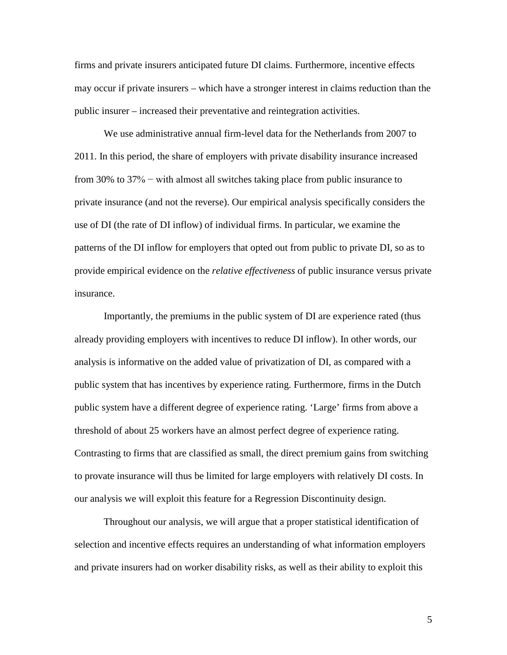firms and private insurers anticipated future DI claims. Furthermore, incentive effects may occur if private insurers – which have a stronger interest in claims reduction than the public insurer – increased their preventative and reintegration activities.

We use administrative annual firm-level data for the Netherlands from 2007 to 2011. In this period, the share of employers with private disability insurance increased from 30% to 37% − with almost all switches taking place from public insurance to private insurance (and not the reverse). Our empirical analysis specifically considers the use of DI (the rate of DI inflow) of individual firms. In particular, we examine the patterns of the DI inflow for employers that opted out from public to private DI, so as to provide empirical evidence on the *relative effectiveness* of public insurance versus private insurance.

Importantly, the premiums in the public system of DI are experience rated (thus already providing employers with incentives to reduce DI inflow). In other words, our analysis is informative on the added value of privatization of DI, as compared with a public system that has incentives by experience rating. Furthermore, firms in the Dutch public system have a different degree of experience rating. 'Large' firms from above a threshold of about 25 workers have an almost perfect degree of experience rating. Contrasting to firms that are classified as small, the direct premium gains from switching to provate insurance will thus be limited for large employers with relatively DI costs. In our analysis we will exploit this feature for a Regression Discontinuity design.

Throughout our analysis, we will argue that a proper statistical identification of selection and incentive effects requires an understanding of what information employers and private insurers had on worker disability risks, as well as their ability to exploit this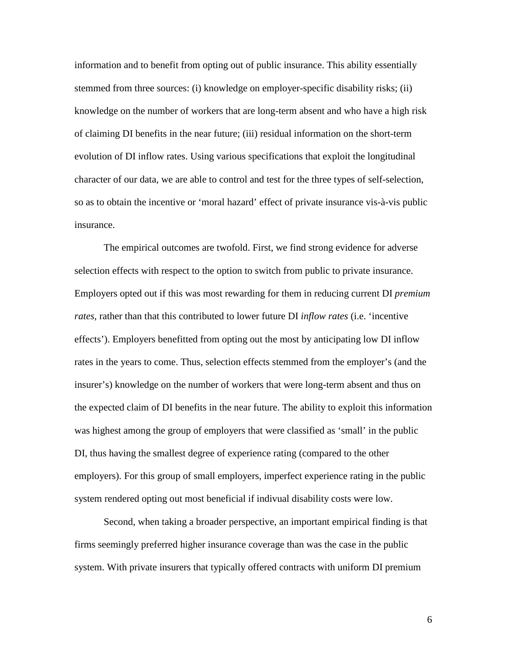information and to benefit from opting out of public insurance. This ability essentially stemmed from three sources: (i) knowledge on employer-specific disability risks; (ii) knowledge on the number of workers that are long-term absent and who have a high risk of claiming DI benefits in the near future; (iii) residual information on the short-term evolution of DI inflow rates. Using various specifications that exploit the longitudinal character of our data, we are able to control and test for the three types of self-selection, so as to obtain the incentive or 'moral hazard' effect of private insurance vis-à-vis public insurance.

The empirical outcomes are twofold. First, we find strong evidence for adverse selection effects with respect to the option to switch from public to private insurance. Employers opted out if this was most rewarding for them in reducing current DI *premium rates*, rather than that this contributed to lower future DI *inflow rates* (i.e. 'incentive effects'). Employers benefitted from opting out the most by anticipating low DI inflow rates in the years to come. Thus, selection effects stemmed from the employer's (and the insurer's) knowledge on the number of workers that were long-term absent and thus on the expected claim of DI benefits in the near future. The ability to exploit this information was highest among the group of employers that were classified as 'small' in the public DI, thus having the smallest degree of experience rating (compared to the other employers). For this group of small employers, imperfect experience rating in the public system rendered opting out most beneficial if indivual disability costs were low.

Second, when taking a broader perspective, an important empirical finding is that firms seemingly preferred higher insurance coverage than was the case in the public system. With private insurers that typically offered contracts with uniform DI premium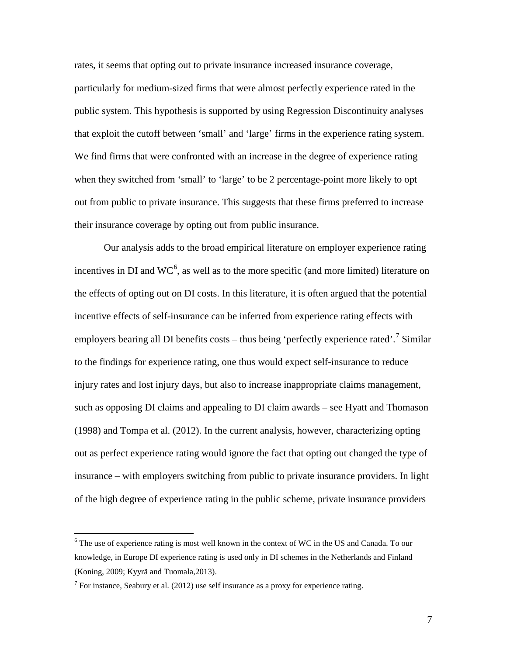rates, it seems that opting out to private insurance increased insurance coverage, particularly for medium-sized firms that were almost perfectly experience rated in the public system. This hypothesis is supported by using Regression Discontinuity analyses that exploit the cutoff between 'small' and 'large' firms in the experience rating system. We find firms that were confronted with an increase in the degree of experience rating when they switched from 'small' to 'large' to be 2 percentage-point more likely to opt out from public to private insurance. This suggests that these firms preferred to increase their insurance coverage by opting out from public insurance.

Our analysis adds to the broad empirical literature on employer experience rating incentives in DI and  $WC^6$  $WC^6$ , as well as to the more specific (and more limited) literature on the effects of opting out on DI costs. In this literature, it is often argued that the potential incentive effects of self-insurance can be inferred from experience rating effects with employers bearing all DI benefits costs – thus being 'perfectly experience rated'.<sup>[7](#page-7-0)</sup> Similar to the findings for experience rating, one thus would expect self-insurance to reduce injury rates and lost injury days, but also to increase inappropriate claims management, such as opposing DI claims and appealing to DI claim awards – see Hyatt and Thomason (1998) and Tompa et al. (2012). In the current analysis, however, characterizing opting out as perfect experience rating would ignore the fact that opting out changed the type of insurance – with employers switching from public to private insurance providers. In light of the high degree of experience rating in the public scheme, private insurance providers

<sup>&</sup>lt;sup>6</sup> The use of experience rating is most well known in the context of WC in the US and Canada. To our knowledge, in Europe DI experience rating is used only in DI schemes in the Netherlands and Finland (Koning, 2009; Kyyrä and Tuomala,2013).

<span id="page-7-0"></span> $7$  For instance, Seabury et al. (2012) use self insurance as a proxy for experience rating.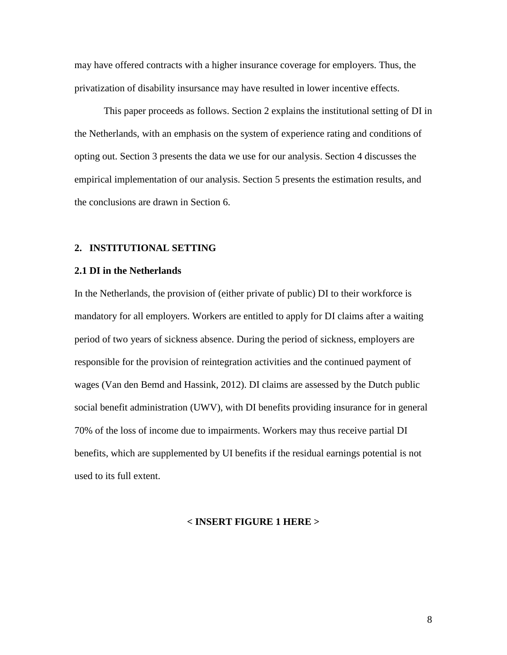may have offered contracts with a higher insurance coverage for employers. Thus, the privatization of disability insursance may have resulted in lower incentive effects.

This paper proceeds as follows. Section 2 explains the institutional setting of DI in the Netherlands, with an emphasis on the system of experience rating and conditions of opting out. Section 3 presents the data we use for our analysis. Section 4 discusses the empirical implementation of our analysis. Section 5 presents the estimation results, and the conclusions are drawn in Section 6.

#### **2. INSTITUTIONAL SETTING**

#### **2.1 DI in the Netherlands**

In the Netherlands, the provision of (either private of public) DI to their workforce is mandatory for all employers. Workers are entitled to apply for DI claims after a waiting period of two years of sickness absence. During the period of sickness, employers are responsible for the provision of reintegration activities and the continued payment of wages (Van den Bemd and Hassink, 2012). DI claims are assessed by the Dutch public social benefit administration (UWV), with DI benefits providing insurance for in general 70% of the loss of income due to impairments. Workers may thus receive partial DI benefits, which are supplemented by UI benefits if the residual earnings potential is not used to its full extent.

#### **< INSERT FIGURE 1 HERE >**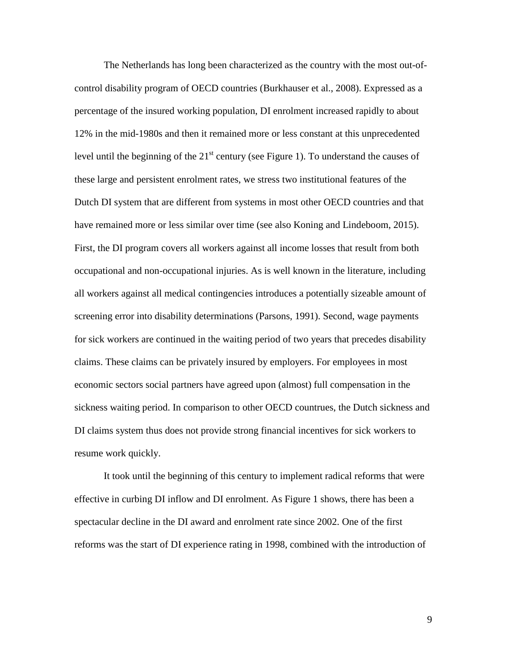The Netherlands has long been characterized as the country with the most out-ofcontrol disability program of OECD countries (Burkhauser et al., 2008). Expressed as a percentage of the insured working population, DI enrolment increased rapidly to about 12% in the mid-1980s and then it remained more or less constant at this unprecedented level until the beginning of the  $21<sup>st</sup>$  century (see Figure 1). To understand the causes of these large and persistent enrolment rates, we stress two institutional features of the Dutch DI system that are different from systems in most other OECD countries and that have remained more or less similar over time (see also Koning and Lindeboom, 2015). First, the DI program covers all workers against all income losses that result from both occupational and non-occupational injuries. As is well known in the literature, including all workers against all medical contingencies introduces a potentially sizeable amount of screening error into disability determinations (Parsons, 1991). Second, wage payments for sick workers are continued in the waiting period of two years that precedes disability claims. These claims can be privately insured by employers. For employees in most economic sectors social partners have agreed upon (almost) full compensation in the sickness waiting period. In comparison to other OECD countrues, the Dutch sickness and DI claims system thus does not provide strong financial incentives for sick workers to resume work quickly.

It took until the beginning of this century to implement radical reforms that were effective in curbing DI inflow and DI enrolment. As Figure 1 shows, there has been a spectacular decline in the DI award and enrolment rate since 2002. One of the first reforms was the start of DI experience rating in 1998, combined with the introduction of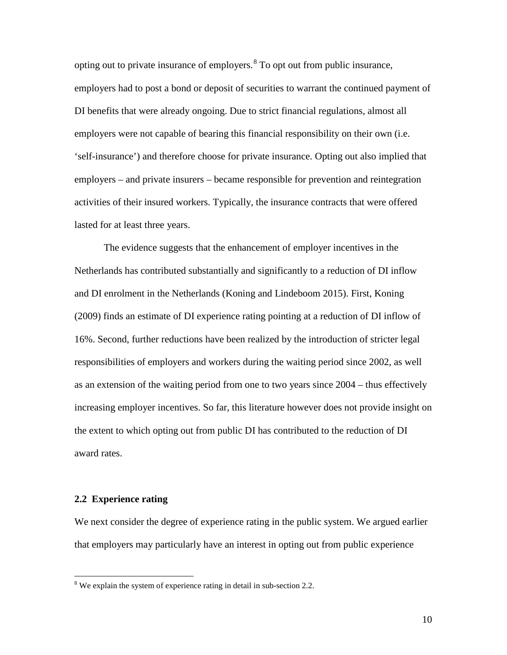opting out to private insurance of employers. $8$  To opt out from public insurance, employers had to post a bond or deposit of securities to warrant the continued payment of DI benefits that were already ongoing. Due to strict financial regulations, almost all employers were not capable of bearing this financial responsibility on their own (i.e. 'self-insurance') and therefore choose for private insurance. Opting out also implied that employers – and private insurers – became responsible for prevention and reintegration activities of their insured workers. Typically, the insurance contracts that were offered lasted for at least three years.

The evidence suggests that the enhancement of employer incentives in the Netherlands has contributed substantially and significantly to a reduction of DI inflow and DI enrolment in the Netherlands (Koning and Lindeboom 2015). First, Koning (2009) finds an estimate of DI experience rating pointing at a reduction of DI inflow of 16%. Second, further reductions have been realized by the introduction of stricter legal responsibilities of employers and workers during the waiting period since 2002, as well as an extension of the waiting period from one to two years since 2004 – thus effectively increasing employer incentives. So far, this literature however does not provide insight on the extent to which opting out from public DI has contributed to the reduction of DI award rates.

#### **2.2 Experience rating**

We next consider the degree of experience rating in the public system. We argued earlier that employers may particularly have an interest in opting out from public experience

<span id="page-10-0"></span><sup>&</sup>lt;sup>8</sup> We explain the system of experience rating in detail in sub-section 2.2.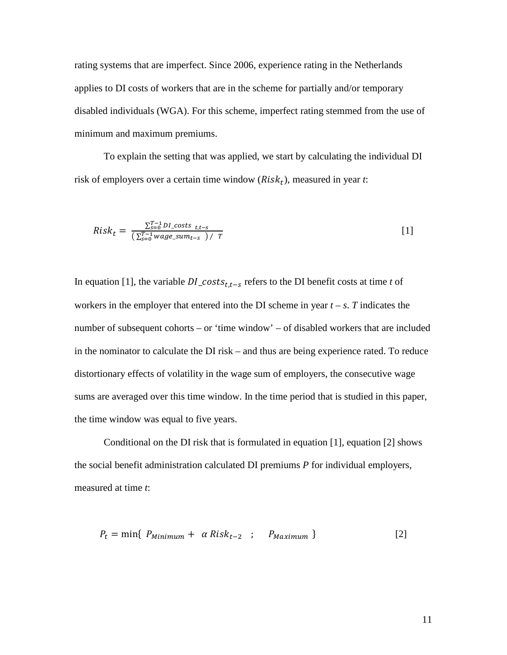rating systems that are imperfect. Since 2006, experience rating in the Netherlands applies to DI costs of workers that are in the scheme for partially and/or temporary disabled individuals (WGA). For this scheme, imperfect rating stemmed from the use of minimum and maximum premiums.

To explain the setting that was applied, we start by calculating the individual DI risk of employers over a certain time window  $(Risk_t)$ , measured in year *t*:

$$
Risk_t = \frac{\sum_{s=0}^{T-1} D I\_costs_{t,t-s}}{\left(\sum_{s=0}^{T-1} wage\_sum_{t-s}\right) / T}
$$
 [1]

In equation [1], the variable  $DI\_costs_{t,t-s}$  refers to the DI benefit costs at time *t* of workers in the employer that entered into the DI scheme in year  $t - s$ . *T* indicates the number of subsequent cohorts – or 'time window' – of disabled workers that are included in the nominator to calculate the DI risk – and thus are being experience rated. To reduce distortionary effects of volatility in the wage sum of employers, the consecutive wage sums are averaged over this time window. In the time period that is studied in this paper, the time window was equal to five years.

Conditional on the DI risk that is formulated in equation [1], equation [2] shows the social benefit administration calculated DI premiums *P* for individual employers, measured at time *t*:

$$
P_t = \min\{ P_{Minimum} + \alpha Risk_{t-2} ; P_{Maximum} \}
$$
 [2]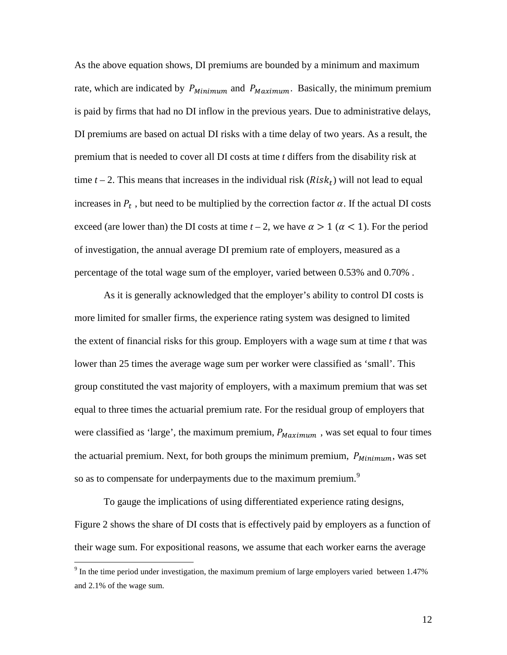As the above equation shows, DI premiums are bounded by a minimum and maximum rate, which are indicated by  $P_{Minimum}$  and  $P_{Maximum}$ . Basically, the minimum premium is paid by firms that had no DI inflow in the previous years. Due to administrative delays, DI premiums are based on actual DI risks with a time delay of two years. As a result, the premium that is needed to cover all DI costs at time *t* differs from the disability risk at time  $t - 2$ . This means that increases in the individual risk ( $Risk<sub>t</sub>$ ) will not lead to equal increases in  $P_t$ , but need to be multiplied by the correction factor  $\alpha$ . If the actual DI costs exceed (are lower than) the DI costs at time  $t - 2$ , we have  $\alpha > 1$  ( $\alpha < 1$ ). For the period of investigation, the annual average DI premium rate of employers, measured as a percentage of the total wage sum of the employer, varied between 0.53% and 0.70% .

As it is generally acknowledged that the employer's ability to control DI costs is more limited for smaller firms, the experience rating system was designed to limited the extent of financial risks for this group. Employers with a wage sum at time *t* that was lower than 25 times the average wage sum per worker were classified as 'small'. This group constituted the vast majority of employers, with a maximum premium that was set equal to three times the actuarial premium rate. For the residual group of employers that were classified as 'large', the maximum premium,  $P_{Maximum}$ , was set equal to four times the actuarial premium. Next, for both groups the minimum premium,  $P_{Minimum}$ , was set so as to compensate for underpayments due to the maximum premium.<sup>[9](#page-10-0)</sup>

To gauge the implications of using differentiated experience rating designs, Figure 2 shows the share of DI costs that is effectively paid by employers as a function of their wage sum. For expositional reasons, we assume that each worker earns the average

<span id="page-12-0"></span> $9$  In the time period under investigation, the maximum premium of large employers varied between 1.47% and 2.1% of the wage sum.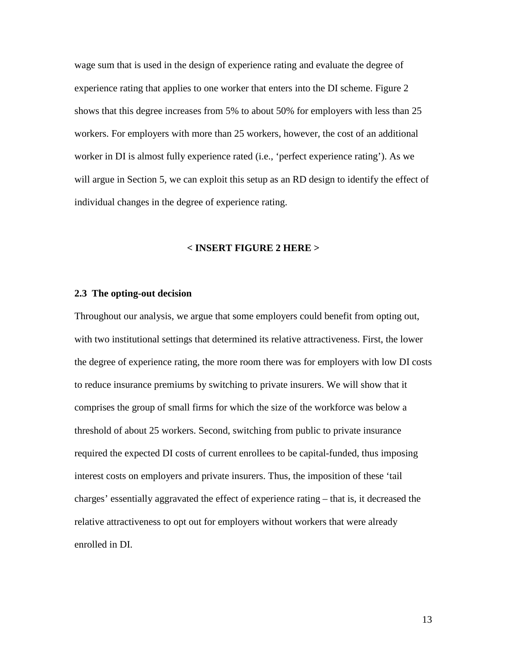wage sum that is used in the design of experience rating and evaluate the degree of experience rating that applies to one worker that enters into the DI scheme. Figure 2 shows that this degree increases from 5% to about 50% for employers with less than 25 workers. For employers with more than 25 workers, however, the cost of an additional worker in DI is almost fully experience rated (i.e., 'perfect experience rating'). As we will argue in Section 5, we can exploit this setup as an RD design to identify the effect of individual changes in the degree of experience rating.

#### **< INSERT FIGURE 2 HERE >**

#### **2.3 The opting-out decision**

Throughout our analysis, we argue that some employers could benefit from opting out, with two institutional settings that determined its relative attractiveness. First, the lower the degree of experience rating, the more room there was for employers with low DI costs to reduce insurance premiums by switching to private insurers. We will show that it comprises the group of small firms for which the size of the workforce was below a threshold of about 25 workers. Second, switching from public to private insurance required the expected DI costs of current enrollees to be capital-funded, thus imposing interest costs on employers and private insurers. Thus, the imposition of these 'tail charges' essentially aggravated the effect of experience rating – that is, it decreased the relative attractiveness to opt out for employers without workers that were already enrolled in DI.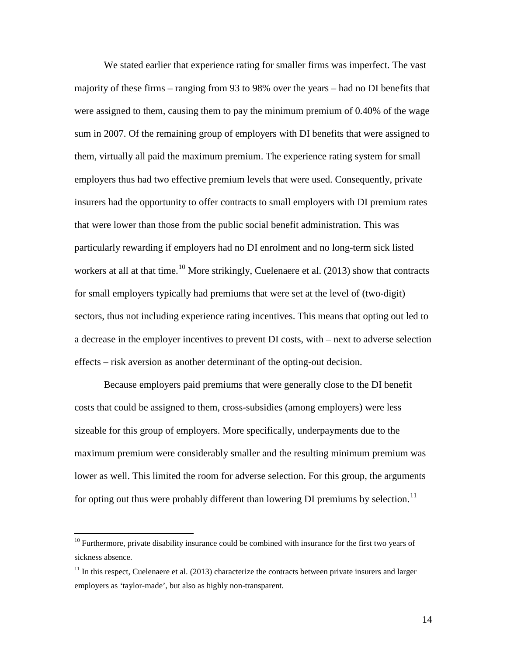We stated earlier that experience rating for smaller firms was imperfect. The vast majority of these firms – ranging from 93 to 98% over the years – had no DI benefits that were assigned to them, causing them to pay the minimum premium of 0.40% of the wage sum in 2007. Of the remaining group of employers with DI benefits that were assigned to them, virtually all paid the maximum premium. The experience rating system for small employers thus had two effective premium levels that were used. Consequently, private insurers had the opportunity to offer contracts to small employers with DI premium rates that were lower than those from the public social benefit administration. This was particularly rewarding if employers had no DI enrolment and no long-term sick listed workers at all at that time.<sup>[10](#page-12-0)</sup> More strikingly, Cuelenaere et al. (2013) show that contracts for small employers typically had premiums that were set at the level of (two-digit) sectors, thus not including experience rating incentives. This means that opting out led to a decrease in the employer incentives to prevent DI costs, with – next to adverse selection effects – risk aversion as another determinant of the opting-out decision.

Because employers paid premiums that were generally close to the DI benefit costs that could be assigned to them, cross-subsidies (among employers) were less sizeable for this group of employers. More specifically, underpayments due to the maximum premium were considerably smaller and the resulting minimum premium was lower as well. This limited the room for adverse selection. For this group, the arguments for opting out thus were probably different than lowering DI premiums by selection.<sup>[11](#page-14-0)</sup>

<sup>&</sup>lt;sup>10</sup> Furthermore, private disability insurance could be combined with insurance for the first two years of sickness absence.

<span id="page-14-0"></span> $11$  In this respect, Cuelenaere et al. (2013) characterize the contracts between private insurers and larger employers as 'taylor-made', but also as highly non-transparent.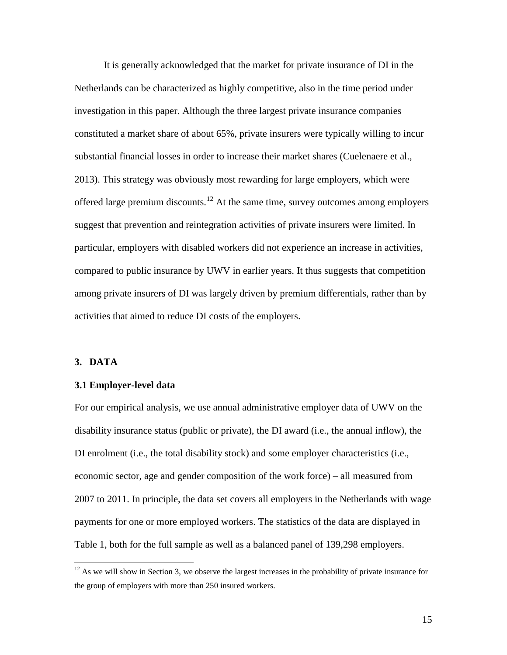It is generally acknowledged that the market for private insurance of DI in the Netherlands can be characterized as highly competitive, also in the time period under investigation in this paper. Although the three largest private insurance companies constituted a market share of about 65%, private insurers were typically willing to incur substantial financial losses in order to increase their market shares (Cuelenaere et al., 2013). This strategy was obviously most rewarding for large employers, which were offered large premium discounts.<sup>[12](#page-14-0)</sup> At the same time, survey outcomes among employers suggest that prevention and reintegration activities of private insurers were limited. In particular, employers with disabled workers did not experience an increase in activities, compared to public insurance by UWV in earlier years. It thus suggests that competition among private insurers of DI was largely driven by premium differentials, rather than by activities that aimed to reduce DI costs of the employers.

#### **3. DATA**

#### **3.1 Employer-level data**

For our empirical analysis, we use annual administrative employer data of UWV on the disability insurance status (public or private), the DI award (i.e., the annual inflow), the DI enrolment (i.e., the total disability stock) and some employer characteristics (i.e., economic sector, age and gender composition of the work force) – all measured from 2007 to 2011. In principle, the data set covers all employers in the Netherlands with wage payments for one or more employed workers. The statistics of the data are displayed in Table 1, both for the full sample as well as a balanced panel of 139,298 employers.

<span id="page-15-0"></span><sup>&</sup>lt;sup>12</sup> As we will show in Section 3, we observe the largest increases in the probability of private insurance for the group of employers with more than 250 insured workers.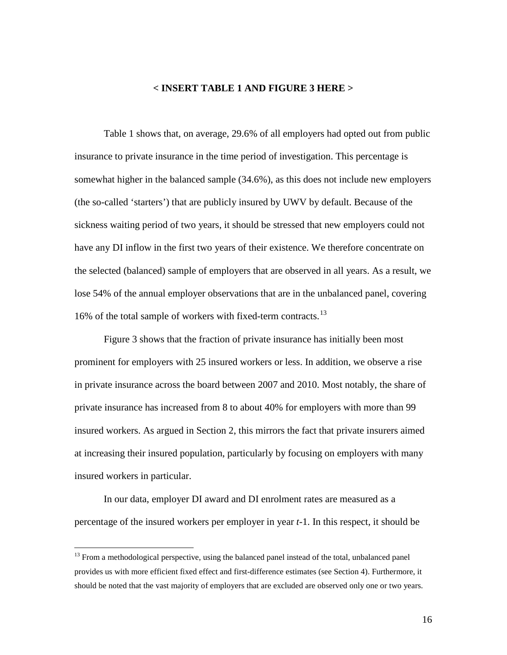#### **< INSERT TABLE 1 AND FIGURE 3 HERE >**

Table 1 shows that, on average, 29.6% of all employers had opted out from public insurance to private insurance in the time period of investigation. This percentage is somewhat higher in the balanced sample (34.6%), as this does not include new employers (the so-called 'starters') that are publicly insured by UWV by default. Because of the sickness waiting period of two years, it should be stressed that new employers could not have any DI inflow in the first two years of their existence. We therefore concentrate on the selected (balanced) sample of employers that are observed in all years. As a result, we lose 54% of the annual employer observations that are in the unbalanced panel, covering 16% of the total sample of workers with fixed-term contracts.[13](#page-15-0)

Figure 3 shows that the fraction of private insurance has initially been most prominent for employers with 25 insured workers or less. In addition, we observe a rise in private insurance across the board between 2007 and 2010. Most notably, the share of private insurance has increased from 8 to about 40% for employers with more than 99 insured workers. As argued in Section 2, this mirrors the fact that private insurers aimed at increasing their insured population, particularly by focusing on employers with many insured workers in particular.

In our data, employer DI award and DI enrolment rates are measured as a percentage of the insured workers per employer in year *t*-1. In this respect, it should be

<span id="page-16-0"></span><sup>&</sup>lt;sup>13</sup> From a methodological perspective, using the balanced panel instead of the total, unbalanced panel provides us with more efficient fixed effect and first-difference estimates (see Section 4). Furthermore, it should be noted that the vast majority of employers that are excluded are observed only one or two years.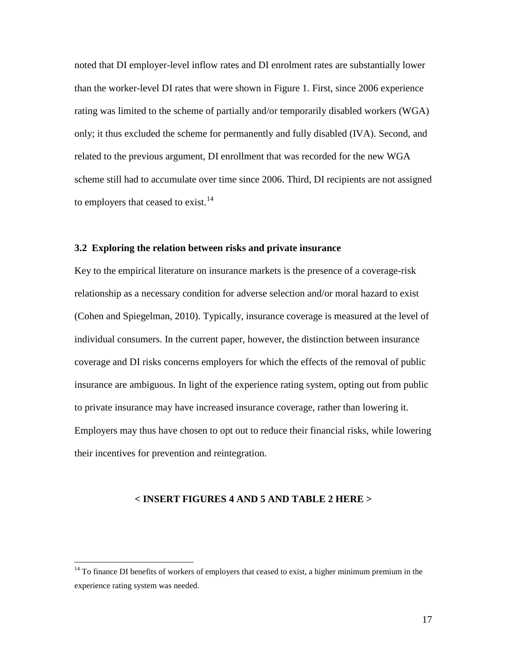noted that DI employer-level inflow rates and DI enrolment rates are substantially lower than the worker-level DI rates that were shown in Figure 1. First, since 2006 experience rating was limited to the scheme of partially and/or temporarily disabled workers (WGA) only; it thus excluded the scheme for permanently and fully disabled (IVA). Second, and related to the previous argument, DI enrollment that was recorded for the new WGA scheme still had to accumulate over time since 2006. Third, DI recipients are not assigned to employers that ceased to exist.<sup>[14](#page-16-0)</sup>

#### **3.2 Exploring the relation between risks and private insurance**

Key to the empirical literature on insurance markets is the presence of a coverage-risk relationship as a necessary condition for adverse selection and/or moral hazard to exist (Cohen and Spiegelman, 2010). Typically, insurance coverage is measured at the level of individual consumers. In the current paper, however, the distinction between insurance coverage and DI risks concerns employers for which the effects of the removal of public insurance are ambiguous. In light of the experience rating system, opting out from public to private insurance may have increased insurance coverage, rather than lowering it. Employers may thus have chosen to opt out to reduce their financial risks, while lowering their incentives for prevention and reintegration.

#### **< INSERT FIGURES 4 AND 5 AND TABLE 2 HERE >**

<span id="page-17-0"></span><sup>&</sup>lt;sup>14</sup> To finance DI benefits of workers of employers that ceased to exist, a higher minimum premium in the experience rating system was needed.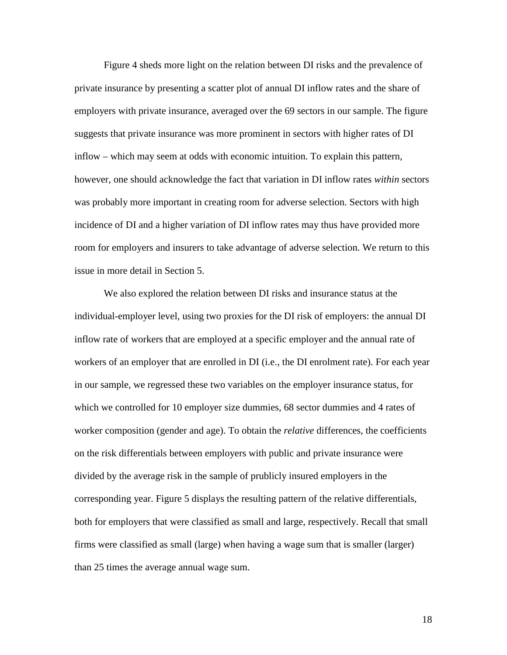Figure 4 sheds more light on the relation between DI risks and the prevalence of private insurance by presenting a scatter plot of annual DI inflow rates and the share of employers with private insurance, averaged over the 69 sectors in our sample. The figure suggests that private insurance was more prominent in sectors with higher rates of DI inflow – which may seem at odds with economic intuition. To explain this pattern, however, one should acknowledge the fact that variation in DI inflow rates *within* sectors was probably more important in creating room for adverse selection. Sectors with high incidence of DI and a higher variation of DI inflow rates may thus have provided more room for employers and insurers to take advantage of adverse selection. We return to this issue in more detail in Section 5.

We also explored the relation between DI risks and insurance status at the individual-employer level, using two proxies for the DI risk of employers: the annual DI inflow rate of workers that are employed at a specific employer and the annual rate of workers of an employer that are enrolled in DI (i.e., the DI enrolment rate). For each year in our sample, we regressed these two variables on the employer insurance status, for which we controlled for 10 employer size dummies, 68 sector dummies and 4 rates of worker composition (gender and age). To obtain the *relative* differences, the coefficients on the risk differentials between employers with public and private insurance were divided by the average risk in the sample of prublicly insured employers in the corresponding year. Figure 5 displays the resulting pattern of the relative differentials, both for employers that were classified as small and large, respectively. Recall that small firms were classified as small (large) when having a wage sum that is smaller (larger) than 25 times the average annual wage sum.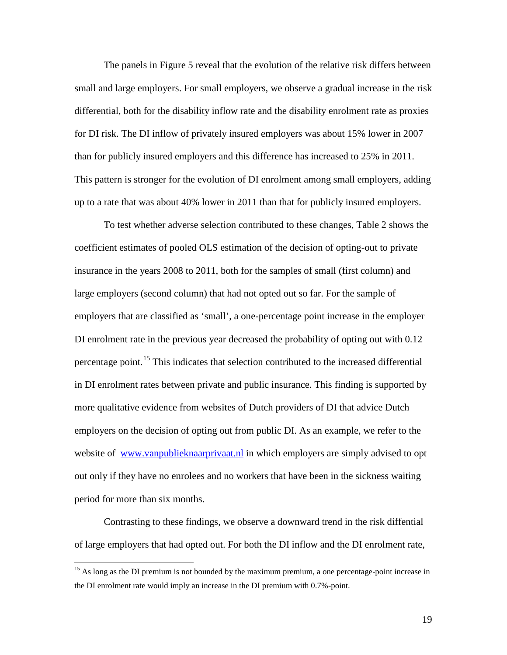The panels in Figure 5 reveal that the evolution of the relative risk differs between small and large employers. For small employers, we observe a gradual increase in the risk differential, both for the disability inflow rate and the disability enrolment rate as proxies for DI risk. The DI inflow of privately insured employers was about 15% lower in 2007 than for publicly insured employers and this difference has increased to 25% in 2011. This pattern is stronger for the evolution of DI enrolment among small employers, adding up to a rate that was about 40% lower in 2011 than that for publicly insured employers.

To test whether adverse selection contributed to these changes, Table 2 shows the coefficient estimates of pooled OLS estimation of the decision of opting-out to private insurance in the years 2008 to 2011, both for the samples of small (first column) and large employers (second column) that had not opted out so far. For the sample of employers that are classified as 'small', a one-percentage point increase in the employer DI enrolment rate in the previous year decreased the probability of opting out with 0.12 percentage point.<sup>[15](#page-17-0)</sup> This indicates that selection contributed to the increased differential in DI enrolment rates between private and public insurance. This finding is supported by more qualitative evidence from websites of Dutch providers of DI that advice Dutch employers on the decision of opting out from public DI. As an example, we refer to the website of [www.vanpublieknaarprivaat.nl](http://www.vanpublieknaarprivaat.nl/) in which employers are simply advised to opt out only if they have no enrolees and no workers that have been in the sickness waiting period for more than six months.

<span id="page-19-0"></span>Contrasting to these findings, we observe a downward trend in the risk diffential of large employers that had opted out. For both the DI inflow and the DI enrolment rate,

<sup>&</sup>lt;sup>15</sup> As long as the DI premium is not bounded by the maximum premium, a one percentage-point increase in the DI enrolment rate would imply an increase in the DI premium with 0.7%-point.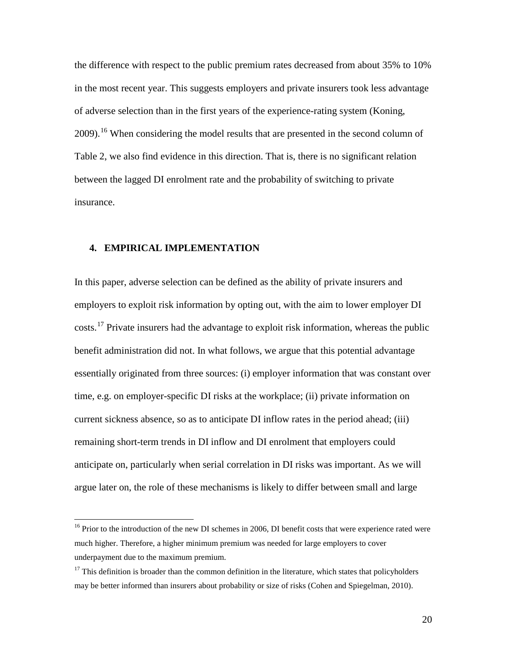the difference with respect to the public premium rates decreased from about 35% to 10% in the most recent year. This suggests employers and private insurers took less advantage of adverse selection than in the first years of the experience-rating system (Koning, 2009).<sup>[16](#page-19-0)</sup> When considering the model results that are presented in the second column of Table 2, we also find evidence in this direction. That is, there is no significant relation between the lagged DI enrolment rate and the probability of switching to private insurance.

#### **4. EMPIRICAL IMPLEMENTATION**

In this paper, adverse selection can be defined as the ability of private insurers and employers to exploit risk information by opting out, with the aim to lower employer DI costs.<sup>[17](#page-20-0)</sup> Private insurers had the advantage to exploit risk information, whereas the public benefit administration did not. In what follows, we argue that this potential advantage essentially originated from three sources: (i) employer information that was constant over time, e.g. on employer-specific DI risks at the workplace; (ii) private information on current sickness absence, so as to anticipate DI inflow rates in the period ahead; (iii) remaining short-term trends in DI inflow and DI enrolment that employers could anticipate on, particularly when serial correlation in DI risks was important. As we will argue later on, the role of these mechanisms is likely to differ between small and large

<span id="page-20-1"></span><sup>&</sup>lt;sup>16</sup> Prior to the introduction of the new DI schemes in 2006, DI benefit costs that were experience rated were much higher. Therefore, a higher minimum premium was needed for large employers to cover underpayment due to the maximum premium.

<span id="page-20-0"></span> $17$  This definition is broader than the common definition in the literature, which states that policyholders may be better informed than insurers about probability or size of risks (Cohen and Spiegelman, 2010).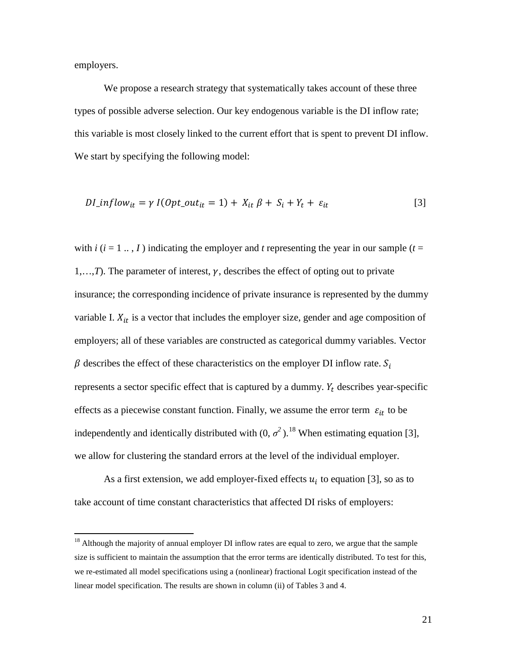employers.

We propose a research strategy that systematically takes account of these three types of possible adverse selection. Our key endogenous variable is the DI inflow rate; this variable is most closely linked to the current effort that is spent to prevent DI inflow. We start by specifying the following model:

$$
DI\_inflow_{it} = \gamma \, I(Opt\_out_{it} = 1) + X_{it} \, \beta + S_i + Y_t + \varepsilon_{it} \tag{3}
$$

with  $i$  ( $i = 1...$ ,  $I$ ) indicating the employer and  $t$  representing the year in our sample ( $t =$  $1, \ldots, T$ ). The parameter of interest,  $\gamma$ , describes the effect of opting out to private insurance; the corresponding incidence of private insurance is represented by the dummy variable I.  $X_{it}$  is a vector that includes the employer size, gender and age composition of employers; all of these variables are constructed as categorical dummy variables. Vector  $\beta$  describes the effect of these characteristics on the employer DI inflow rate.  $S_i$ represents a sector specific effect that is captured by a dummy.  $Y_t$  describes year-specific effects as a piecewise constant function. Finally, we assume the error term  $\varepsilon_{it}$  to be independently and identically distributed with  $(0, \sigma^2)$ .<sup>[18](#page-20-1)</sup> When estimating equation [3], we allow for clustering the standard errors at the level of the individual employer.

As a first extension, we add employer-fixed effects  $u_i$  to equation [3], so as to take account of time constant characteristics that affected DI risks of employers:

<span id="page-21-0"></span> $18$  Although the majority of annual employer DI inflow rates are equal to zero, we argue that the sample size is sufficient to maintain the assumption that the error terms are identically distributed. To test for this, we re-estimated all model specifications using a (nonlinear) fractional Logit specification instead of the linear model specification. The results are shown in column (ii) of Tables 3 and 4.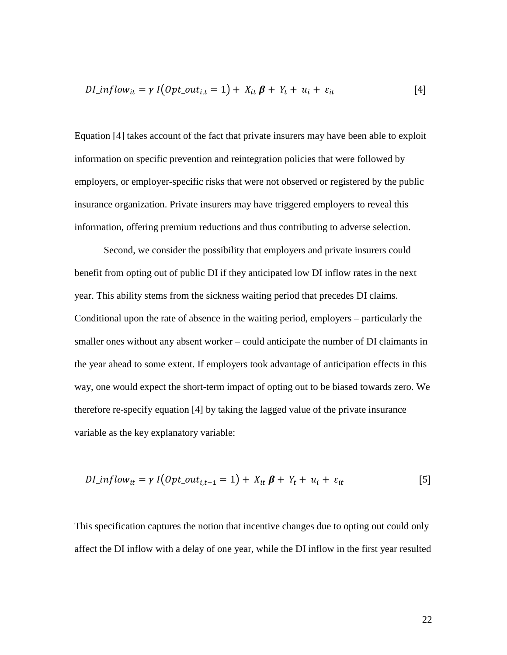$$
DI\_inflow_{it} = \gamma \, I \big( Opt\_out_{i,t} = 1 \big) + X_{it} \, \boldsymbol{\beta} + Y_t + u_i + \varepsilon_{it} \tag{4}
$$

Equation [4] takes account of the fact that private insurers may have been able to exploit information on specific prevention and reintegration policies that were followed by employers, or employer-specific risks that were not observed or registered by the public insurance organization. Private insurers may have triggered employers to reveal this information, offering premium reductions and thus contributing to adverse selection.

Second, we consider the possibility that employers and private insurers could benefit from opting out of public DI if they anticipated low DI inflow rates in the next year. This ability stems from the sickness waiting period that precedes DI claims. Conditional upon the rate of absence in the waiting period, employers – particularly the smaller ones without any absent worker – could anticipate the number of DI claimants in the year ahead to some extent. If employers took advantage of anticipation effects in this way, one would expect the short-term impact of opting out to be biased towards zero. We therefore re-specify equation [4] by taking the lagged value of the private insurance variable as the key explanatory variable:

$$
DI\_inflow_{it} = \gamma I\big(\text{Opt\_out}_{i,t-1} = 1\big) + X_{it} \mathbf{\beta} + Y_t + u_i + \varepsilon_{it}
$$
\n[5]

This specification captures the notion that incentive changes due to opting out could only affect the DI inflow with a delay of one year, while the DI inflow in the first year resulted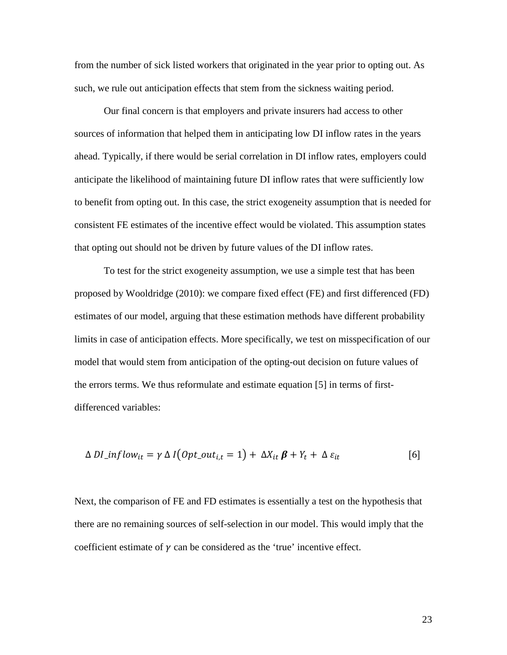from the number of sick listed workers that originated in the year prior to opting out. As such, we rule out anticipation effects that stem from the sickness waiting period.

Our final concern is that employers and private insurers had access to other sources of information that helped them in anticipating low DI inflow rates in the years ahead. Typically, if there would be serial correlation in DI inflow rates, employers could anticipate the likelihood of maintaining future DI inflow rates that were sufficiently low to benefit from opting out. In this case, the strict exogeneity assumption that is needed for consistent FE estimates of the incentive effect would be violated. This assumption states that opting out should not be driven by future values of the DI inflow rates.

To test for the strict exogeneity assumption, we use a simple test that has been proposed by Wooldridge (2010): we compare fixed effect (FE) and first differenced (FD) estimates of our model, arguing that these estimation methods have different probability limits in case of anticipation effects. More specifically, we test on misspecification of our model that would stem from anticipation of the opting-out decision on future values of the errors terms. We thus reformulate and estimate equation [5] in terms of firstdifferenced variables:

$$
\Delta DI\_inflow_{it} = \gamma \Delta I\big(Opt\_out_{i,t} = 1\big) + \Delta X_{it} \boldsymbol{\beta} + Y_t + \Delta \varepsilon_{it}
$$
 [6]

Next, the comparison of FE and FD estimates is essentially a test on the hypothesis that there are no remaining sources of self-selection in our model. This would imply that the coefficient estimate of  $\gamma$  can be considered as the 'true' incentive effect.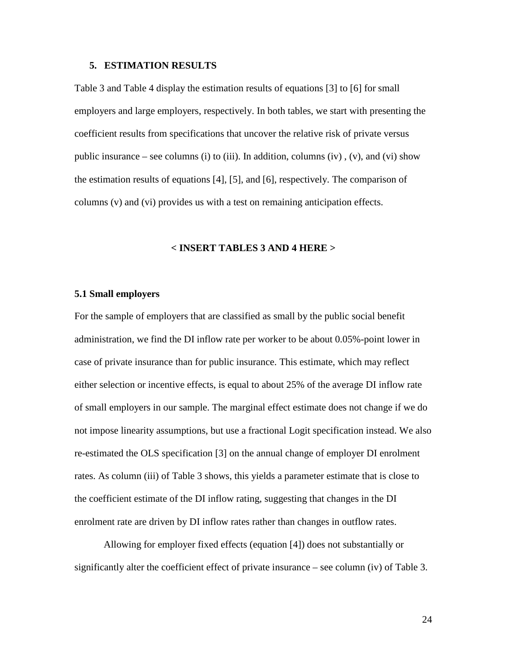#### **5. ESTIMATION RESULTS**

Table 3 and Table 4 display the estimation results of equations [3] to [6] for small employers and large employers, respectively. In both tables, we start with presenting the coefficient results from specifications that uncover the relative risk of private versus public insurance – see columns (i) to (iii). In addition, columns (iv), (v), and (vi) show the estimation results of equations [4], [5], and [6], respectively. The comparison of columns (v) and (vi) provides us with a test on remaining anticipation effects.

#### **< INSERT TABLES 3 AND 4 HERE >**

#### **5.1 Small employers**

For the sample of employers that are classified as small by the public social benefit administration, we find the DI inflow rate per worker to be about 0.05%-point lower in case of private insurance than for public insurance. This estimate, which may reflect either selection or incentive effects, is equal to about 25% of the average DI inflow rate of small employers in our sample. The marginal effect estimate does not change if we do not impose linearity assumptions, but use a fractional Logit specification instead. We also re-estimated the OLS specification [3] on the annual change of employer DI enrolment rates. As column (iii) of Table 3 shows, this yields a parameter estimate that is close to the coefficient estimate of the DI inflow rating, suggesting that changes in the DI enrolment rate are driven by DI inflow rates rather than changes in outflow rates.

Allowing for employer fixed effects (equation [4]) does not substantially or significantly alter the coefficient effect of private insurance – see column (iv) of Table 3.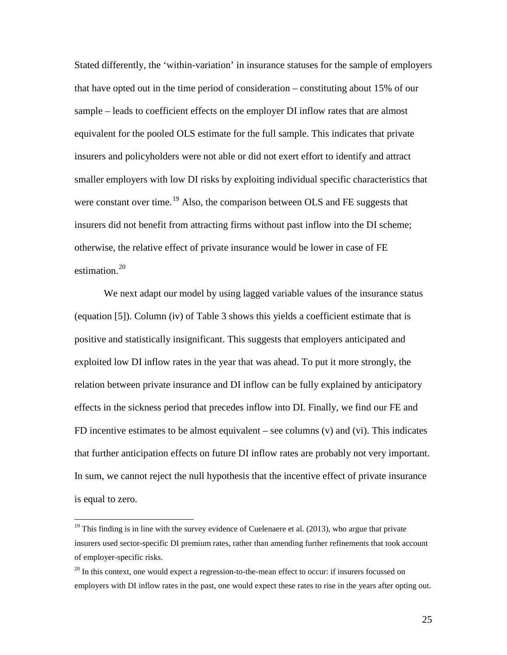Stated differently, the 'within-variation' in insurance statuses for the sample of employers that have opted out in the time period of consideration – constituting about 15% of our sample – leads to coefficient effects on the employer DI inflow rates that are almost equivalent for the pooled OLS estimate for the full sample. This indicates that private insurers and policyholders were not able or did not exert effort to identify and attract smaller employers with low DI risks by exploiting individual specific characteristics that were constant over time.<sup>[19](#page-21-0)</sup> Also, the comparison between OLS and FE suggests that insurers did not benefit from attracting firms without past inflow into the DI scheme; otherwise, the relative effect of private insurance would be lower in case of FE estimation. $20$ 

We next adapt our model by using lagged variable values of the insurance status (equation [5]). Column (iv) of Table 3 shows this yields a coefficient estimate that is positive and statistically insignificant. This suggests that employers anticipated and exploited low DI inflow rates in the year that was ahead. To put it more strongly, the relation between private insurance and DI inflow can be fully explained by anticipatory effects in the sickness period that precedes inflow into DI. Finally, we find our FE and FD incentive estimates to be almost equivalent – see columns  $(v)$  and  $(vi)$ . This indicates that further anticipation effects on future DI inflow rates are probably not very important. In sum, we cannot reject the null hypothesis that the incentive effect of private insurance is equal to zero.

<span id="page-25-1"></span> $19$  This finding is in line with the survey evidence of Cuelenaere et al. (2013), who argue that private insurers used sector-specific DI premium rates, rather than amending further refinements that took account of employer-specific risks.

<span id="page-25-0"></span> $20$  In this context, one would expect a regression-to-the-mean effect to occur: if insurers focussed on employers with DI inflow rates in the past, one would expect these rates to rise in the years after opting out.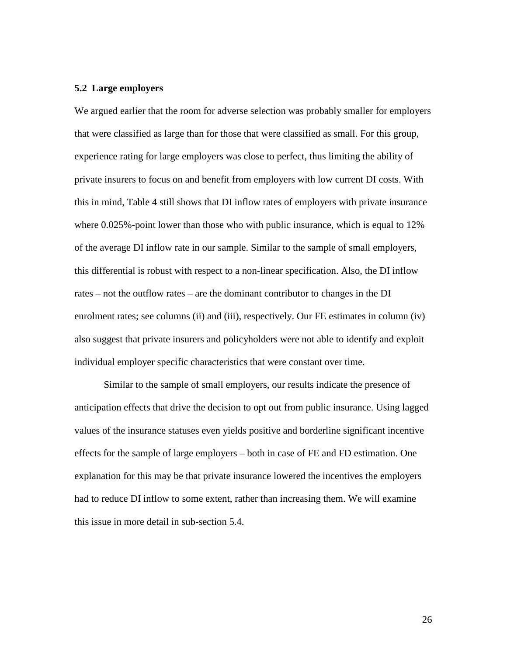#### **5.2 Large employers**

We argued earlier that the room for adverse selection was probably smaller for employers that were classified as large than for those that were classified as small. For this group, experience rating for large employers was close to perfect, thus limiting the ability of private insurers to focus on and benefit from employers with low current DI costs. With this in mind, Table 4 still shows that DI inflow rates of employers with private insurance where 0.025%-point lower than those who with public insurance, which is equal to 12% of the average DI inflow rate in our sample. Similar to the sample of small employers, this differential is robust with respect to a non-linear specification. Also, the DI inflow rates – not the outflow rates – are the dominant contributor to changes in the DI enrolment rates; see columns (ii) and (iii), respectively. Our FE estimates in column (iv) also suggest that private insurers and policyholders were not able to identify and exploit individual employer specific characteristics that were constant over time.

Similar to the sample of small employers, our results indicate the presence of anticipation effects that drive the decision to opt out from public insurance. Using lagged values of the insurance statuses even yields positive and borderline significant incentive effects for the sample of large employers – both in case of FE and FD estimation. One explanation for this may be that private insurance lowered the incentives the employers had to reduce DI inflow to some extent, rather than increasing them. We will examine this issue in more detail in sub-section 5.4.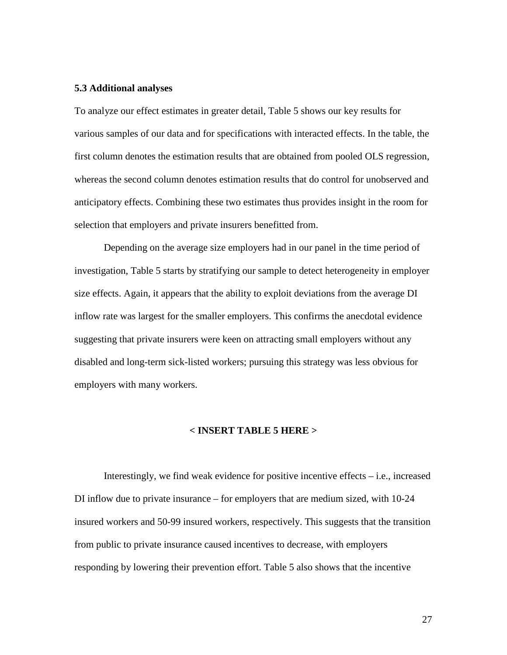#### **5.3 Additional analyses**

To analyze our effect estimates in greater detail, Table 5 shows our key results for various samples of our data and for specifications with interacted effects. In the table, the first column denotes the estimation results that are obtained from pooled OLS regression, whereas the second column denotes estimation results that do control for unobserved and anticipatory effects. Combining these two estimates thus provides insight in the room for selection that employers and private insurers benefitted from.

Depending on the average size employers had in our panel in the time period of investigation, Table 5 starts by stratifying our sample to detect heterogeneity in employer size effects. Again, it appears that the ability to exploit deviations from the average DI inflow rate was largest for the smaller employers. This confirms the anecdotal evidence suggesting that private insurers were keen on attracting small employers without any disabled and long-term sick-listed workers; pursuing this strategy was less obvious for employers with many workers.

#### **< INSERT TABLE 5 HERE >**

Interestingly, we find weak evidence for positive incentive effects – i.e., increased DI inflow due to private insurance – for employers that are medium sized, with 10-24 insured workers and 50-99 insured workers, respectively. This suggests that the transition from public to private insurance caused incentives to decrease, with employers responding by lowering their prevention effort. Table 5 also shows that the incentive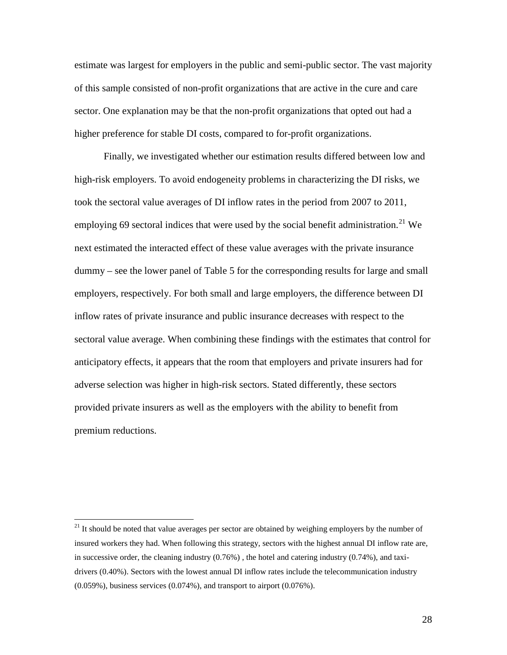estimate was largest for employers in the public and semi-public sector. The vast majority of this sample consisted of non-profit organizations that are active in the cure and care sector. One explanation may be that the non-profit organizations that opted out had a higher preference for stable DI costs, compared to for-profit organizations.

Finally, we investigated whether our estimation results differed between low and high-risk employers. To avoid endogeneity problems in characterizing the DI risks, we took the sectoral value averages of DI inflow rates in the period from 2007 to 2011, employing 69 sectoral indices that were used by the social benefit administration.<sup>[21](#page-25-1)</sup> We next estimated the interacted effect of these value averages with the private insurance dummy – see the lower panel of Table 5 for the corresponding results for large and small employers, respectively. For both small and large employers, the difference between DI inflow rates of private insurance and public insurance decreases with respect to the sectoral value average. When combining these findings with the estimates that control for anticipatory effects, it appears that the room that employers and private insurers had for adverse selection was higher in high-risk sectors. Stated differently, these sectors provided private insurers as well as the employers with the ability to benefit from premium reductions.

 $21$  It should be noted that value averages per sector are obtained by weighing employers by the number of insured workers they had. When following this strategy, sectors with the highest annual DI inflow rate are, in successive order, the cleaning industry (0.76%) , the hotel and catering industry (0.74%), and taxidrivers (0.40%). Sectors with the lowest annual DI inflow rates include the telecommunication industry (0.059%), business services (0.074%), and transport to airport (0.076%).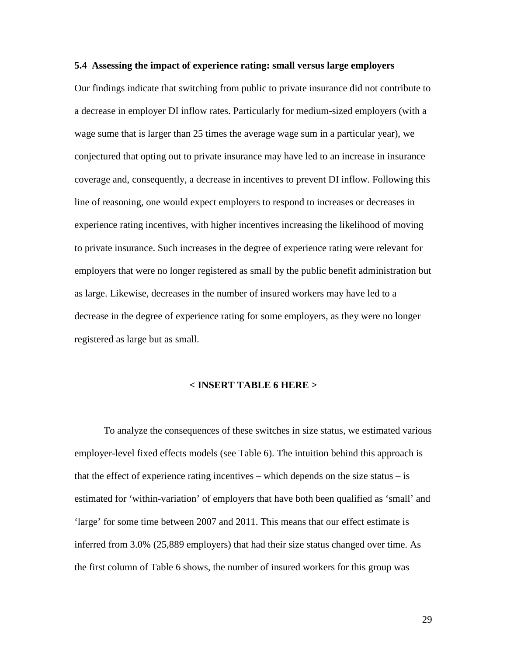#### **5.4 Assessing the impact of experience rating: small versus large employers**

Our findings indicate that switching from public to private insurance did not contribute to a decrease in employer DI inflow rates. Particularly for medium-sized employers (with a wage sume that is larger than 25 times the average wage sum in a particular year), we conjectured that opting out to private insurance may have led to an increase in insurance coverage and, consequently, a decrease in incentives to prevent DI inflow. Following this line of reasoning, one would expect employers to respond to increases or decreases in experience rating incentives, with higher incentives increasing the likelihood of moving to private insurance. Such increases in the degree of experience rating were relevant for employers that were no longer registered as small by the public benefit administration but as large. Likewise, decreases in the number of insured workers may have led to a decrease in the degree of experience rating for some employers, as they were no longer registered as large but as small.

#### **< INSERT TABLE 6 HERE >**

To analyze the consequences of these switches in size status, we estimated various employer-level fixed effects models (see Table 6). The intuition behind this approach is that the effect of experience rating incentives – which depends on the size status – is estimated for 'within-variation' of employers that have both been qualified as 'small' and 'large' for some time between 2007 and 2011. This means that our effect estimate is inferred from 3.0% (25,889 employers) that had their size status changed over time. As the first column of Table 6 shows, the number of insured workers for this group was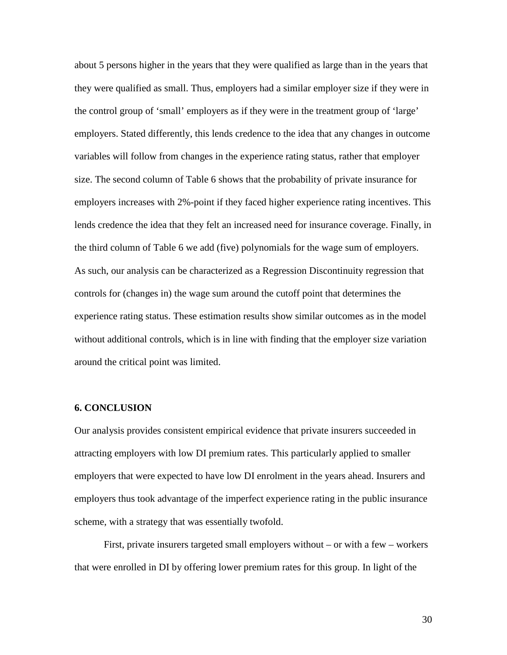about 5 persons higher in the years that they were qualified as large than in the years that they were qualified as small. Thus, employers had a similar employer size if they were in the control group of 'small' employers as if they were in the treatment group of 'large' employers. Stated differently, this lends credence to the idea that any changes in outcome variables will follow from changes in the experience rating status, rather that employer size. The second column of Table 6 shows that the probability of private insurance for employers increases with 2%-point if they faced higher experience rating incentives. This lends credence the idea that they felt an increased need for insurance coverage. Finally, in the third column of Table 6 we add (five) polynomials for the wage sum of employers. As such, our analysis can be characterized as a Regression Discontinuity regression that controls for (changes in) the wage sum around the cutoff point that determines the experience rating status. These estimation results show similar outcomes as in the model without additional controls, which is in line with finding that the employer size variation around the critical point was limited.

#### **6. CONCLUSION**

Our analysis provides consistent empirical evidence that private insurers succeeded in attracting employers with low DI premium rates. This particularly applied to smaller employers that were expected to have low DI enrolment in the years ahead. Insurers and employers thus took advantage of the imperfect experience rating in the public insurance scheme, with a strategy that was essentially twofold.

First, private insurers targeted small employers without – or with a few – workers that were enrolled in DI by offering lower premium rates for this group. In light of the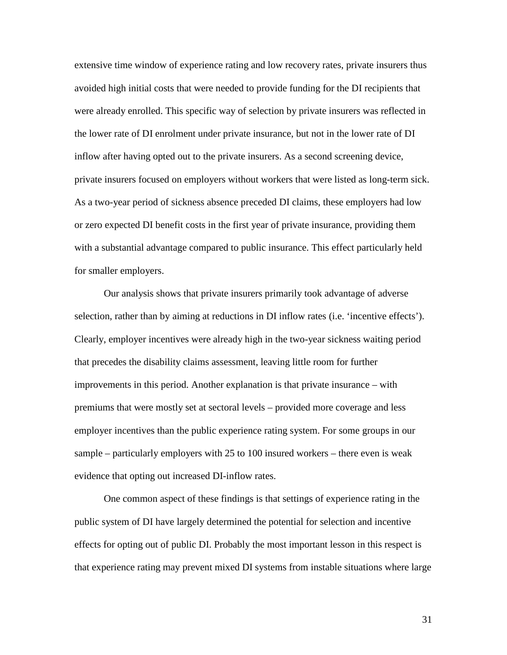extensive time window of experience rating and low recovery rates, private insurers thus avoided high initial costs that were needed to provide funding for the DI recipients that were already enrolled. This specific way of selection by private insurers was reflected in the lower rate of DI enrolment under private insurance, but not in the lower rate of DI inflow after having opted out to the private insurers. As a second screening device, private insurers focused on employers without workers that were listed as long-term sick. As a two-year period of sickness absence preceded DI claims, these employers had low or zero expected DI benefit costs in the first year of private insurance, providing them with a substantial advantage compared to public insurance. This effect particularly held for smaller employers.

Our analysis shows that private insurers primarily took advantage of adverse selection, rather than by aiming at reductions in DI inflow rates (i.e. 'incentive effects'). Clearly, employer incentives were already high in the two-year sickness waiting period that precedes the disability claims assessment, leaving little room for further improvements in this period. Another explanation is that private insurance – with premiums that were mostly set at sectoral levels – provided more coverage and less employer incentives than the public experience rating system. For some groups in our sample – particularly employers with 25 to 100 insured workers – there even is weak evidence that opting out increased DI-inflow rates.

One common aspect of these findings is that settings of experience rating in the public system of DI have largely determined the potential for selection and incentive effects for opting out of public DI. Probably the most important lesson in this respect is that experience rating may prevent mixed DI systems from instable situations where large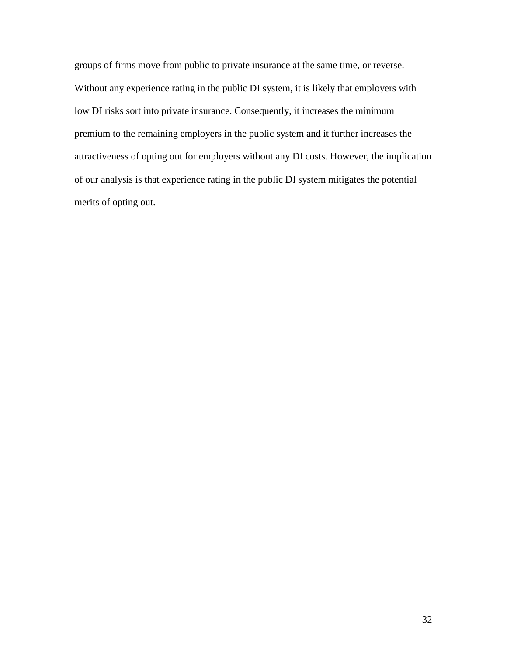groups of firms move from public to private insurance at the same time, or reverse. Without any experience rating in the public DI system, it is likely that employers with low DI risks sort into private insurance. Consequently, it increases the minimum premium to the remaining employers in the public system and it further increases the attractiveness of opting out for employers without any DI costs. However, the implication of our analysis is that experience rating in the public DI system mitigates the potential merits of opting out.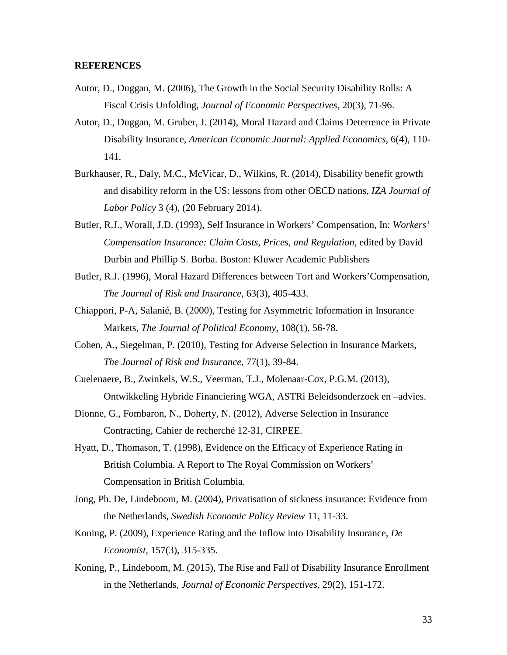#### **REFERENCES**

- Autor, D., Duggan, M. (2006), The Growth in the Social Security Disability Rolls: A Fiscal Crisis Unfolding, *Journal of Economic Perspectives*, 20(3), 71-96.
- Autor, D., Duggan, M. Gruber, J. (2014), Moral Hazard and Claims Deterrence in Private Disability Insurance, *American Economic Journal: Applied Economics*, 6(4), 110- 141.
- Burkhauser, R., Daly, M.C., McVicar, D., Wilkins, R. (2014), Disability benefit growth and disability reform in the US: lessons from other OECD nations*, IZA Journal of Labor Policy* 3 (4), (20 February 2014).
- Butler, R.J., Worall, J.D. (1993), Self Insurance in Workers' Compensation, In: *Workers' Compensation Insurance: Claim Costs, Prices, and Regulation*, edited by David Durbin and Phillip S. Borba. Boston: Kluwer Academic Publishers
- Butler, R.J. (1996), Moral Hazard Differences between Tort and Workers'Compensation, *The Journal of Risk and Insurance*, 63(3), 405-433.
- Chiappori, P-A, Salanié, B. (2000), Testing for Asymmetric Information in Insurance Markets, *The Journal of Political Economy*, 108(1), 56-78.
- Cohen, A., Siegelman, P. (2010), Testing for Adverse Selection in Insurance Markets, *The Journal of Risk and Insurance*, 77(1), 39-84.
- Cuelenaere, B., Zwinkels, W.S., Veerman, T.J., Molenaar-Cox, P.G.M. (2013), Ontwikkeling Hybride Financiering WGA, ASTRi Beleidsonderzoek en –advies.
- Dionne, G., Fombaron, N., Doherty, N. (2012), Adverse Selection in Insurance Contracting, Cahier de recherché 12-31, CIRPEE.
- Hyatt, D., Thomason, T. (1998), Evidence on the Efficacy of Experience Rating in British Columbia. A Report to The Royal Commission on Workers' Compensation in British Columbia.
- Jong, Ph. De, Lindeboom, M. (2004), Privatisation of sickness insurance: Evidence from the Netherlands, *Swedish Economic Policy Review* 11, 11-33.
- Koning, P. (2009), Experience Rating and the Inflow into Disability Insurance, *De Economist*, 157(3), 315-335.
- Koning, P., Lindeboom, M. (2015), The Rise and Fall of Disability Insurance Enrollment in the Netherlands, *Journal of Economic Perspectives*, 29(2), 151-172.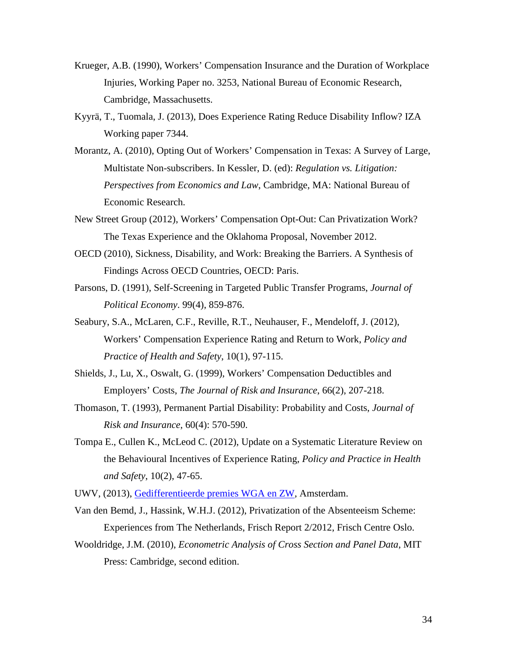- Krueger, A.B. (1990), Workers' Compensation Insurance and the Duration of Workplace Injuries, Working Paper no. 3253, National Bureau of Economic Research, Cambridge, Massachusetts.
- Kyyrä, T., Tuomala, J. (2013), Does Experience Rating Reduce Disability Inflow? IZA Working paper 7344.
- Morantz, A. (2010), Opting Out of Workers' Compensation in Texas: A Survey of Large, Multistate Non-subscribers. In Kessler, D. (ed): *Regulation vs. Litigation: Perspectives from Economics and Law*, Cambridge, MA: National Bureau of Economic Research.
- New Street Group (2012), Workers' Compensation Opt-Out: Can Privatization Work? The Texas Experience and the Oklahoma Proposal, November 2012.
- OECD (2010), Sickness, Disability, and Work: Breaking the Barriers. A Synthesis of Findings Across OECD Countries, OECD: Paris.
- Parsons, D. (1991), Self-Screening in Targeted Public Transfer Programs, *Journal of Political Economy*. 99(4), 859-876.
- Seabury, S.A., McLaren, C.F., Reville, R.T., Neuhauser, F., Mendeloff, J. (2012), Workers' Compensation Experience Rating and Return to Work, *Policy and Practice of Health and Safety*, 10(1), 97-115.
- Shields, J., Lu, X., Oswalt, G. (1999), Workers' Compensation Deductibles and Employers' Costs, *The Journal of Risk and Insurance*, 66(2), 207-218.
- Thomason, T. (1993), Permanent Partial Disability: Probability and Costs, *Journal of Risk and Insurance*, 60(4): 570-590.
- Tompa E., Cullen K., McLeod C. (2012), Update on a Systematic Literature Review on the Behavioural Incentives of Experience Rating, *Policy and Practice in Health and Safety*, 10(2), 47-65.
- UWV, (2013), [Gedifferentieerde premies WGA en ZW,](http://www.uwv.nl/overuwv/Images/UWV_premienota_Whk_2014_v2.01.pdf) Amsterdam.
- Van den Bemd, J., Hassink, W.H.J. (2012), Privatization of the Absenteeism Scheme: Experiences from The Netherlands, Frisch Report 2/2012, Frisch Centre Oslo.
- Wooldridge, J.M. (2010), *Econometric Analysis of Cross Section and Panel Data*, MIT Press: Cambridge, second edition.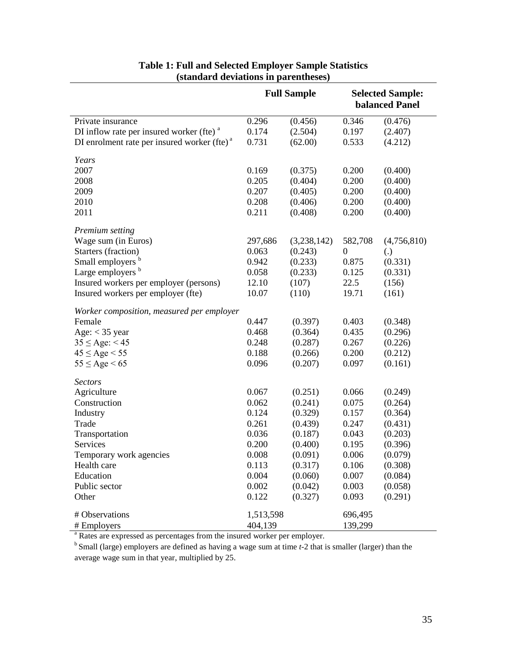|                                                |           | <b>Full Sample</b> | <b>Selected Sample:</b><br><b>balanced Panel</b> |                   |  |
|------------------------------------------------|-----------|--------------------|--------------------------------------------------|-------------------|--|
| Private insurance                              | 0.296     | (0.456)            | 0.346                                            | (0.476)           |  |
| DI inflow rate per insured worker (fte) $a$    | 0.174     | (2.504)            | 0.197                                            | (2.407)           |  |
| DI enrolment rate per insured worker (fte) $a$ | 0.731     | (62.00)            | 0.533                                            | (4.212)           |  |
| Years                                          |           |                    |                                                  |                   |  |
| 2007                                           | 0.169     | (0.375)            | 0.200                                            | (0.400)           |  |
| 2008                                           | 0.205     | (0.404)            | 0.200                                            | (0.400)           |  |
| 2009                                           | 0.207     | (0.405)            | 0.200                                            | (0.400)           |  |
| 2010                                           | 0.208     | (0.406)            | 0.200                                            | (0.400)           |  |
| 2011                                           | 0.211     | (0.408)            | 0.200                                            | (0.400)           |  |
| Premium setting                                |           |                    |                                                  |                   |  |
| Wage sum (in Euros)                            | 297,686   | (3,238,142)        | 582,708                                          | (4,756,810)       |  |
| Starters (fraction)                            | 0.063     | (0.243)            | $\theta$                                         | $\left( .\right)$ |  |
| Small employers b                              | 0.942     | (0.233)            | 0.875                                            | (0.331)           |  |
| Large employers b                              | 0.058     | (0.233)            | 0.125                                            | (0.331)           |  |
| Insured workers per employer (persons)         | 12.10     | (107)              | 22.5                                             | (156)             |  |
| Insured workers per employer (fte)             | 10.07     | (110)              | 19.71                                            | (161)             |  |
| Worker composition, measured per employer      |           |                    |                                                  |                   |  |
| Female                                         | 0.447     | (0.397)            | 0.403                                            | (0.348)           |  |
| Age: $<$ 35 year                               | 0.468     | (0.364)            | 0.435                                            | (0.296)           |  |
| $35 \leq Age$ : < 45                           | 0.248     | (0.287)            | 0.267                                            | (0.226)           |  |
| $45 \leq Age < 55$                             | 0.188     | (0.266)            | 0.200                                            | (0.212)           |  |
| $55 \leq Age \leq 65$                          | 0.096     | (0.207)            | 0.097                                            | (0.161)           |  |
| <b>Sectors</b>                                 |           |                    |                                                  |                   |  |
| Agriculture                                    | 0.067     | (0.251)            | 0.066                                            | (0.249)           |  |
| Construction                                   | 0.062     | (0.241)            | 0.075                                            | (0.264)           |  |
| Industry                                       | 0.124     | (0.329)            | 0.157                                            | (0.364)           |  |
| Trade                                          | 0.261     | (0.439)            | 0.247                                            | (0.431)           |  |
| Transportation                                 | 0.036     | (0.187)            | 0.043                                            | (0.203)           |  |
| Services                                       | 0.200     | (0.400)            | 0.195                                            | (0.396)           |  |
| Temporary work agencies                        | 0.008     | (0.091)            | 0.006                                            | (0.079)           |  |
| Health care                                    | 0.113     | (0.317)            | 0.106                                            | (0.308)           |  |
| Education                                      | 0.004     | (0.060)            | 0.007                                            | (0.084)           |  |
| Public sector                                  | 0.002     | (0.042)            | 0.003                                            | (0.058)           |  |
| Other                                          | 0.122     | (0.327)            | 0.093                                            | (0.291)           |  |
| # Observations                                 | 1,513,598 |                    | 696,495                                          |                   |  |
| # Employers                                    | 404,139   |                    | 139,299                                          |                   |  |

### **Table 1: Full and Selected Employer Sample Statistics (standard deviations in parentheses)**

<sup>a</sup> Rates are expressed as percentages from the insured worker per employer.

<sup>b</sup> Small (large) employers are defined as having a wage sum at time *t*-2 that is smaller (larger) than the average wage sum in that year, multiplied by 25.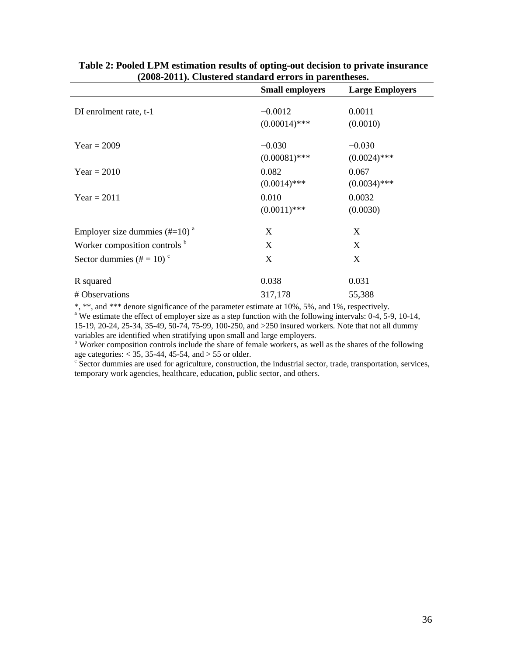|                                   | $\mathbf{u}$ and $\mathbf{u}$ and $\mathbf{u}$ and $\mathbf{u}$ becomes $\mathbf{u}$ and $\mathbf{u}$ are $\mathbf{u}$ and $\mathbf{u}$<br><b>Small employers</b> | <b>Large Employers</b> |
|-----------------------------------|-------------------------------------------------------------------------------------------------------------------------------------------------------------------|------------------------|
|                                   |                                                                                                                                                                   |                        |
| DI enrolment rate, t-1            | $-0.0012$                                                                                                                                                         | 0.0011                 |
|                                   | $(0.00014)$ ***                                                                                                                                                   | (0.0010)               |
|                                   |                                                                                                                                                                   |                        |
| $Year = 2009$                     | $-0.030$                                                                                                                                                          | $-0.030$               |
|                                   | $(0.00081)$ ***                                                                                                                                                   | $(0.0024)$ ***         |
| $Year = 2010$                     | 0.082                                                                                                                                                             | 0.067                  |
|                                   | $(0.0014)$ ***                                                                                                                                                    | $(0.0034)$ ***         |
| $Year = 2011$                     | 0.010                                                                                                                                                             | 0.0032                 |
|                                   | $(0.0011)$ ***                                                                                                                                                    | (0.0030)               |
| Employer size dummies $(\#=10)^a$ | X                                                                                                                                                                 | X                      |
| Worker composition controls b     | X                                                                                                                                                                 | X                      |
|                                   |                                                                                                                                                                   |                        |
| Sector dummies $(\# = 10)^c$      | X                                                                                                                                                                 | X                      |
| R squared                         | 0.038                                                                                                                                                             | 0.031                  |
| # Observations                    | 317,178                                                                                                                                                           | 55,388                 |

**Table 2: Pooled LPM estimation results of opting-out decision to private insurance (2008-2011). Clustered standard errors in parentheses.**

\*, \*\*, and \*\*\* denote significance of the parameter estimate at 10%, 5%, and 1%, respectively.

<sup>a</sup> We estimate the effect of employer size as a step function with the following intervals: 0-4, 5-9, 10-14, 15-19, 20-24, 25-34, 35-49, 50-74, 75-99, 100-250, and >250 insured workers. Note that not all dummy

<sup>b</sup> Worker composition controls include the share of female workers, as well as the shares of the following age categories:  $<$  35, 35-44, 45-54, and  $>$  55 or older.

 $\epsilon$  Sector dummies are used for agriculture, construction, the industrial sector, trade, transportation, services, temporary work agencies, healthcare, education, public sector, and others.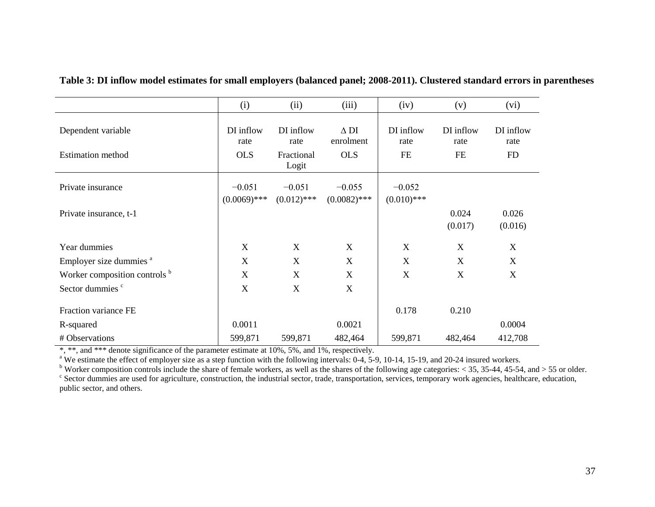|                                                | (i)                             | (ii)                                     | (iii)                                  | (iv)                           | (v)                            | (vi)                           |
|------------------------------------------------|---------------------------------|------------------------------------------|----------------------------------------|--------------------------------|--------------------------------|--------------------------------|
| Dependent variable<br><b>Estimation</b> method | DI inflow<br>rate<br><b>OLS</b> | DI inflow<br>rate<br>Fractional<br>Logit | $\Delta$ DI<br>enrolment<br><b>OLS</b> | DI inflow<br>rate<br><b>FE</b> | DI inflow<br>rate<br><b>FE</b> | DI inflow<br>rate<br><b>FD</b> |
| Private insurance                              | $-0.051$<br>$(0.0069)$ ***      | $-0.051$<br>$(0.012)$ ***                | $-0.055$<br>$(0.0082)$ ***             | $-0.052$<br>$(0.010)$ ***      |                                |                                |
| Private insurance, t-1                         |                                 |                                          |                                        |                                | 0.024<br>(0.017)               | 0.026<br>(0.016)               |
| Year dummies                                   | X                               | X                                        | X                                      | X                              | X                              | X                              |
| Employer size dummies <sup>a</sup>             | X                               | X                                        | $\mathbf X$                            | $\mathbf X$                    | X                              | X                              |
| Worker composition controls b                  | X                               | X                                        | $\mathbf X$                            | $\mathbf X$                    | X                              | X                              |
| Sector dummies <sup>c</sup>                    | X                               | X                                        | $\mathbf X$                            |                                |                                |                                |
| Fraction variance FE                           |                                 |                                          |                                        | 0.178                          | 0.210                          |                                |
| R-squared                                      | 0.0011                          |                                          | 0.0021                                 |                                |                                | 0.0004                         |
| # Observations                                 | 599,871                         | 599,871                                  | 482,464                                | 599,871                        | 482,464                        | 412,708                        |

**Table 3: DI inflow model estimates for small employers (balanced panel; 2008-2011). Clustered standard errors in parentheses**

\*, \*\*, and \*\*\* denote significance of the parameter estimate at 10%, 5%, and 1%, respectively.<br>
<sup>a</sup> We estimate the effect of employer size as a step function with the following intervals: 0-4, 5-9, 10-14, 15-19, and 20-2

public sector, and others.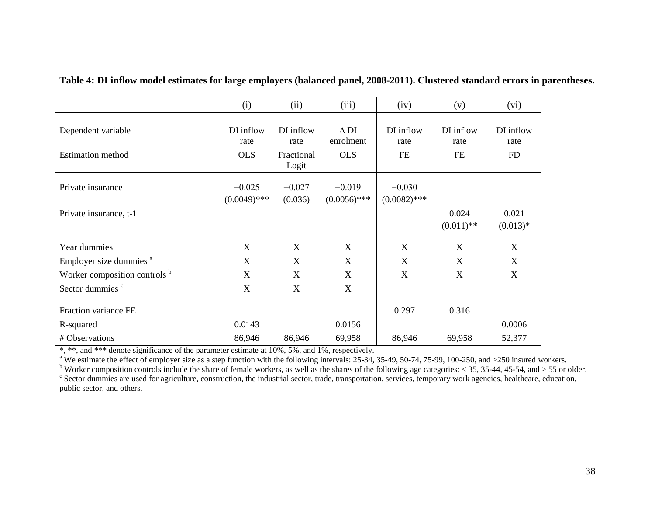|                                                | (i)                             | (ii)                                     | (iii)                                  | (iv)                           | (v)                            | (vi)                           |
|------------------------------------------------|---------------------------------|------------------------------------------|----------------------------------------|--------------------------------|--------------------------------|--------------------------------|
| Dependent variable<br><b>Estimation</b> method | DI inflow<br>rate<br><b>OLS</b> | DI inflow<br>rate<br>Fractional<br>Logit | $\Delta$ DI<br>enrolment<br><b>OLS</b> | DI inflow<br>rate<br><b>FE</b> | DI inflow<br>rate<br><b>FE</b> | DI inflow<br>rate<br><b>FD</b> |
| Private insurance                              | $-0.025$<br>$(0.0049)$ ***      | $-0.027$<br>(0.036)                      | $-0.019$<br>$(0.0056)$ ***             | $-0.030$<br>$(0.0082)$ ***     |                                |                                |
| Private insurance, t-1                         |                                 |                                          |                                        |                                | 0.024<br>$(0.011)$ **          | 0.021<br>$(0.013)*$            |
| Year dummies                                   | X                               | X                                        | X                                      | X                              | X                              | X                              |
| Employer size dummies <sup>a</sup>             | X                               | X                                        | X                                      | $\mathbf X$                    | X                              | X                              |
| Worker composition controls b                  | X                               | X                                        | X                                      | $\boldsymbol{\mathrm{X}}$      | X                              | $\mathbf X$                    |
| Sector dummies <sup>c</sup>                    | X                               | X                                        | X                                      |                                |                                |                                |
| Fraction variance FE                           |                                 |                                          |                                        | 0.297                          | 0.316                          |                                |
| R-squared                                      | 0.0143                          |                                          | 0.0156                                 |                                |                                | 0.0006                         |
| # Observations                                 | 86,946                          | 86,946                                   | 69,958                                 | 86,946                         | 69,958                         | 52,377                         |

**Table 4: DI inflow model estimates for large employers (balanced panel, 2008-2011). Clustered standard errors in parentheses.**

\*, \*\*, and \*\*\* denote significance of the parameter estimate at 10%, 5%, and 1%, respectively.<br><sup>a</sup> We estimate the effect of employer size as a step function with the following intervals: 25-34, 35-49, 50-74, 75-99, 100-25

<sup>b</sup> Worker composition controls include the share of female workers, as well as the shares of the following age categories: < 35, 35-44, 45-54, and > 55 or older.<br><sup>c</sup> Sector dummies are used for agriculture, construction,

public sector, and others.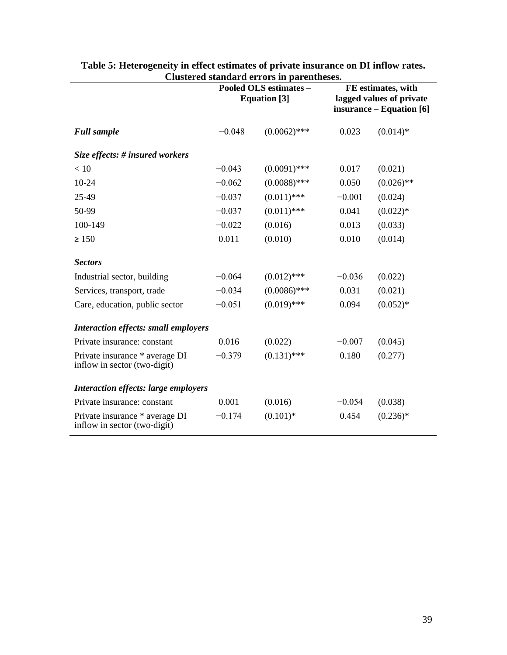|                                                                |          | Clustel eu standard errors in parentneses.<br>Pooled OLS estimates -<br><b>Equation</b> [3] | FE estimates, with<br>lagged values of private<br>insurance – Equation [6] |              |  |
|----------------------------------------------------------------|----------|---------------------------------------------------------------------------------------------|----------------------------------------------------------------------------|--------------|--|
| <b>Full sample</b>                                             | $-0.048$ | $(0.0062)$ ***                                                                              | 0.023                                                                      | $(0.014)$ *  |  |
| Size effects: # insured workers                                |          |                                                                                             |                                                                            |              |  |
| < 10                                                           | $-0.043$ | $(0.0091)$ ***                                                                              | 0.017                                                                      | (0.021)      |  |
| $10-24$                                                        | $-0.062$ | $(0.0088)$ ***                                                                              | 0.050                                                                      | $(0.026)$ ** |  |
| 25-49                                                          | $-0.037$ | $(0.011)$ ***                                                                               | $-0.001$                                                                   | (0.024)      |  |
| 50-99                                                          | $-0.037$ | $(0.011)$ ***                                                                               | 0.041                                                                      | $(0.022)*$   |  |
| 100-149                                                        | $-0.022$ | (0.016)                                                                                     | 0.013                                                                      | (0.033)      |  |
| $\geq 150$                                                     | 0.011    | (0.010)                                                                                     | 0.010                                                                      | (0.014)      |  |
| <b>Sectors</b>                                                 |          |                                                                                             |                                                                            |              |  |
| Industrial sector, building                                    | $-0.064$ | $(0.012)$ ***                                                                               | $-0.036$                                                                   | (0.022)      |  |
| Services, transport, trade                                     | $-0.034$ | $(0.0086)$ ***                                                                              | 0.031                                                                      | (0.021)      |  |
| Care, education, public sector                                 | $-0.051$ | $(0.019)$ ***                                                                               | 0.094                                                                      | $(0.052)*$   |  |
| <b>Interaction effects: small employers</b>                    |          |                                                                                             |                                                                            |              |  |
| Private insurance: constant                                    | 0.016    | (0.022)                                                                                     | $-0.007$                                                                   | (0.045)      |  |
| Private insurance * average DI<br>inflow in sector (two-digit) | $-0.379$ | $(0.131)$ ***                                                                               | 0.180                                                                      | (0.277)      |  |
| <b>Interaction effects: large employers</b>                    |          |                                                                                             |                                                                            |              |  |
| Private insurance: constant                                    | 0.001    | (0.016)                                                                                     | $-0.054$                                                                   | (0.038)      |  |
| Private insurance * average DI<br>inflow in sector (two-digit) | $-0.174$ | $(0.101)$ *                                                                                 | 0.454                                                                      | $(0.236)*$   |  |

#### **Table 5: Heterogeneity in effect estimates of private insurance on DI inflow rates. Clustered standard errors in parentheses.**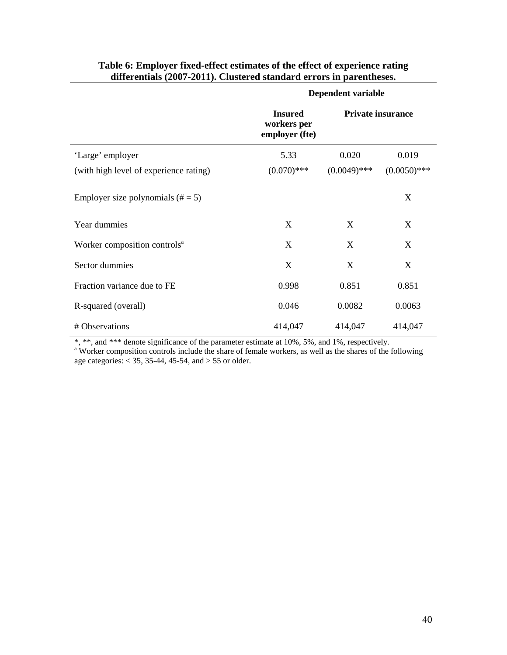|                                          | Dependent variable                              |                          |                |  |  |
|------------------------------------------|-------------------------------------------------|--------------------------|----------------|--|--|
|                                          | <b>Insured</b><br>workers per<br>employer (fte) | <b>Private insurance</b> |                |  |  |
| 'Large' employer                         | 5.33                                            | 0.020                    | 0.019          |  |  |
| (with high level of experience rating)   | $(0.070)$ ***                                   | $(0.0049)$ ***           | $(0.0050)$ *** |  |  |
| Employer size polynomials $(\# = 5)$     |                                                 |                          | X              |  |  |
| Year dummies                             | X                                               | X                        | X              |  |  |
| Worker composition controls <sup>a</sup> | X                                               | X                        | X              |  |  |
| Sector dummies                           | X                                               | X                        | X              |  |  |
| Fraction variance due to FE              | 0.998                                           | 0.851                    | 0.851          |  |  |
| R-squared (overall)                      | 0.046                                           | 0.0082                   | 0.0063         |  |  |
| # Observations                           | 414,047                                         | 414,047                  | 414,047        |  |  |

#### **Table 6: Employer fixed-effect estimates of the effect of experience rating differentials (2007-2011). Clustered standard errors in parentheses.**

\*, \*\*, and \*\*\* denote significance of the parameter estimate at 10%, 5%, and 1%, respectively.<br><sup>a</sup> Worker composition controls include the share of female workers, as well as the shares of the following age categories:  $<$  35, 35-44, 45-54, and  $>$  55 or older.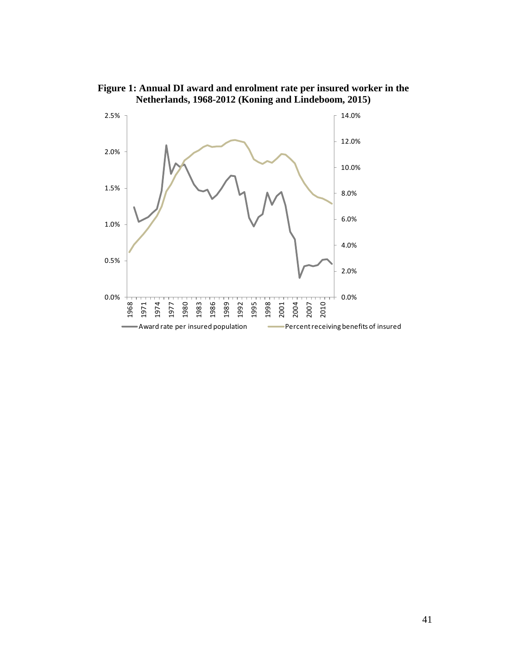

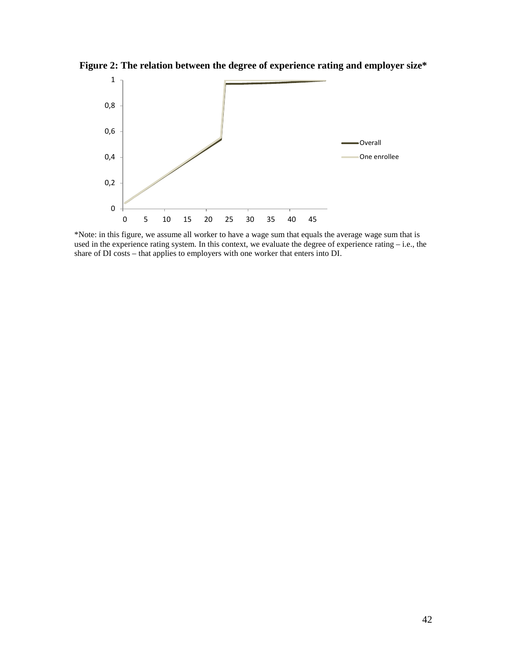**Figure 2: The relation between the degree of experience rating and employer size\***



\*Note: in this figure, we assume all worker to have a wage sum that equals the average wage sum that is used in the experience rating system. In this context, we evaluate the degree of experience rating – i.e., the share of DI costs – that applies to employers with one worker that enters into DI.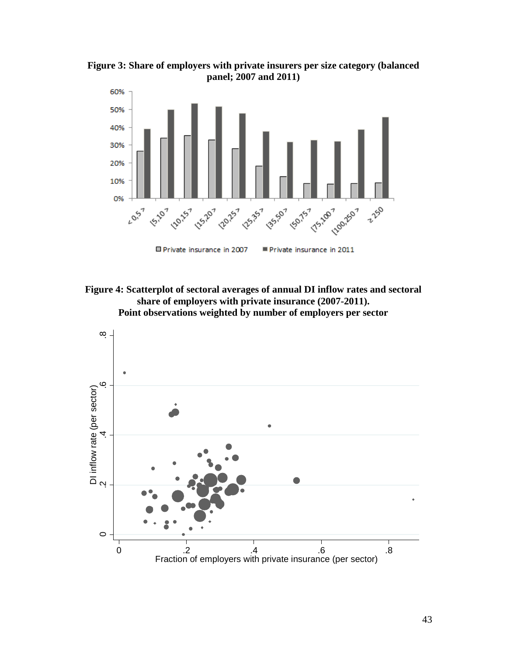